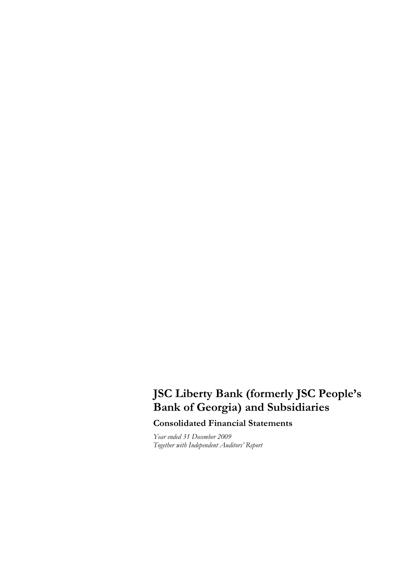# **JSC Liberty Bank (formerly JSC People's Bank of Georgia) and Subsidiaries**

# **Consolidated Financial Statements**

*Year ended 31 December 2009 Together with Independent Auditors' Report*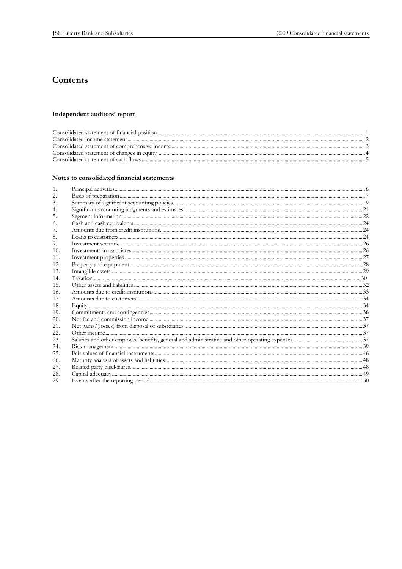# Contents

# Independent auditors' report

# Notes to consolidated financial statements

| 1.  |  |
|-----|--|
|     |  |
| 3.  |  |
|     |  |
| 5.  |  |
| 6.  |  |
|     |  |
| 8.  |  |
| 9.  |  |
| 10. |  |
| 11. |  |
| 12. |  |
| 13. |  |
| 14. |  |
| 15. |  |
| 16. |  |
| 17. |  |
| 18. |  |
| 19. |  |
| 20. |  |
| 21. |  |
| 22. |  |
| 23. |  |
| 24. |  |
| 25. |  |
| 26. |  |
| 27. |  |
| 28. |  |
| 29. |  |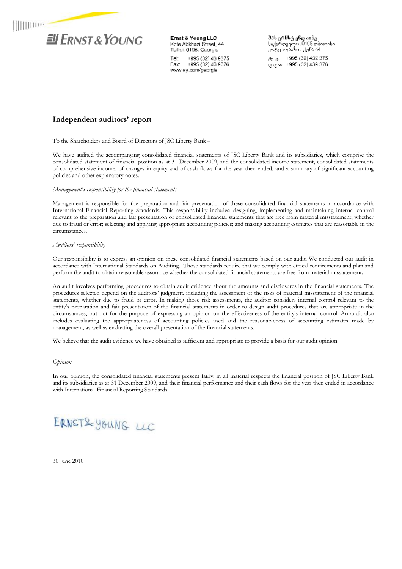

Ernst & Young LLC Kote Abkhazi Street, 44 Tbilisi, 0105, Georgia Teh +995 (32) 43 9375 +995 (32) 43 9376 Fax: www.ey.com/georgia

შპს ერნსტ ენდ იანგ ასა ეონაც ეაც იასე<br>საქართეელო, 0105 თბილისი<br>კოტე აფხაშის ქუჩა 44 @geg: +995 (32) 439 375 Warble 1995 (32) 439 376

# **Independent auditors' report**

To the Shareholders and Board of Directors of JSC Liberty Bank –

We have audited the accompanying consolidated financial statements of JSC Liberty Bank and its subsidiaries, which comprise the consolidated statement of financial position as at 31 December 2009, and the consolidated income statement, consolidated statements of comprehensive income, of changes in equity and of cash flows for the year then ended, and a summary of significant accounting policies and other explanatory notes.

### *Management's responsibility for the financial statements*

Management is responsible for the preparation and fair presentation of these consolidated financial statements in accordance with International Financial Reporting Standards. This responsibility includes: designing, implementing and maintaining internal control relevant to the preparation and fair presentation of consolidated financial statements that are free from material misstatement, whether due to fraud or error; selecting and applying appropriate accounting policies; and making accounting estimates that are reasonable in the circumstances.

### *Auditors' responsibility*

Our responsibility is to express an opinion on these consolidated financial statements based on our audit. We conducted our audit in accordance with International Standards on Auditing. Those standards require that we comply with ethical requirements and plan and perform the audit to obtain reasonable assurance whether the consolidated financial statements are free from material misstatement.

An audit involves performing procedures to obtain audit evidence about the amounts and disclosures in the financial statements. The procedures selected depend on the auditors' judgment, including the assessment of the risks of material misstatement of the financial statements, whether due to fraud or error. In making those risk assessments, the auditor considers internal control relevant to the entity's preparation and fair presentation of the financial statements in order to design audit procedures that are appropriate in the circumstances, but not for the purpose of expressing an opinion on the effectiveness of the entity's internal control. An audit also includes evaluating the appropriateness of accounting policies used and the reasonableness of accounting estimates made by management, as well as evaluating the overall presentation of the financial statements.

We believe that the audit evidence we have obtained is sufficient and appropriate to provide a basis for our audit opinion.

### *Opinion*

In our opinion, the consolidated financial statements present fairly, in all material respects the financial position of JSC Liberty Bank and its subsidiaries as at 31 December 2009, and their financial performance and their cash flows for the year then ended in accordance with International Financial Reporting Standards.

ERNST2-YOUNG LLC

30 June 2010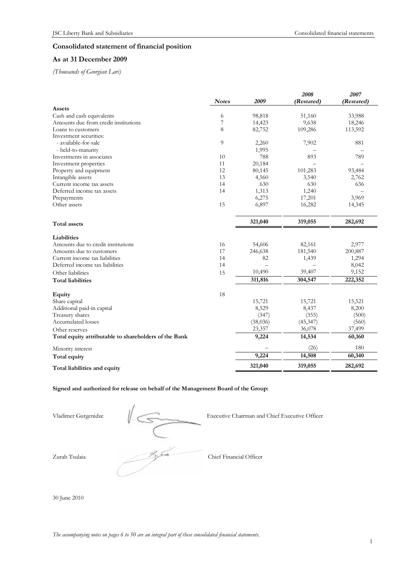# **Consolidated statement of financial position**

# **As at 31 December 2009**

*(Thousands of Georgian Lari)* 

|                                                       | <b>Notes</b> | 2009     | <i><b>2008</b></i><br>(Restated) | 2007<br>(Restated) |
|-------------------------------------------------------|--------------|----------|----------------------------------|--------------------|
| Assets                                                |              |          |                                  |                    |
| Cash and cash equivalents                             | 6            | 98,818   | 51,160                           | 33,988             |
| Amounts due from credit institutions                  | 7            | 14,423   | 9,638                            | 18,246             |
| Loans to customers                                    | 8            | 82,752   | 109,286                          | 113,592            |
| Investment securities:                                |              |          |                                  |                    |
| - available-for-sale                                  | 9            | 2,260    | 7,902                            | 881                |
| - held-to-maturity                                    |              | 1,995    |                                  |                    |
| Investments in associates                             | 10           | 788      | 893                              | 789                |
| Investment properties                                 | 11           | 20,184   |                                  |                    |
| Property and equipment                                | 12           | 80,145   | 101,283                          | 93,484             |
| Intangible assets                                     | 13           | 4,560    | 3,540                            | 2,762              |
| Current income tax assets                             | 14           | 630      | 630                              | 636                |
| Deferred income tax assets                            | 14           | 1,313    | 1,240                            |                    |
| Prepayments                                           |              | 6,275    | 17,201                           | 3,969              |
| Other assets                                          | 15           | 6,897    | 16,282                           | 14,345             |
| <b>Total assets</b>                                   |              | 321,040  | 319,055                          | 282,692            |
| Liabilities                                           |              |          |                                  |                    |
| Amounts due to credit institutions                    | 16           | 54,606   | 82,161                           | 2,977              |
| Amounts due to customers                              | 17           | 246,638  | 181,540                          | 200,887            |
| Current income tax liabilities                        | 14           | 82       | 1,439                            | 1,294              |
| Deferred income tax liabilities                       | 14           |          |                                  | 8,042              |
| Other liabilities                                     | 15           | 10,490   | 39,407                           | 9,152              |
| <b>Total liabilities</b>                              |              | 311,816  | 304,547                          | 222,352            |
| Equity                                                | 18           |          |                                  |                    |
| Share capital                                         |              | 15,721   | 15,721                           | 15,521             |
| Additional paid-in capital                            |              | 8,529    | 8,437                            | 8,200              |
| Treasury shares                                       |              | (347)    | (355)                            | (500)              |
| Accumulated losses                                    |              | (38,036) | (45, 347)                        | (560)              |
| Other reserves                                        |              | 23,357   | 36,078                           | 37,499             |
| Total equity attributable to shareholders of the Bank |              | 9,224    | 14,534                           | 60,160             |
| Minority interest                                     |              |          | (26)                             | 180                |
| Total equity                                          |              | 9,224    | 14,508                           | 60,340             |
| Total liabilities and equity                          |              | 321,040  | 319,055                          | 282,692            |

**Signed and authorized for release on behalf of the Management Board of the Group:** 

Vladimer Gurgenidze  $\sqrt{\frac{2 \text{c}}{n}}$  Executive Chairman and Chairman and Chief Financial Officer

Vladimer Gurgenidze  $\|$  Executive Chairman and Chief Executive Officer

30 June 2010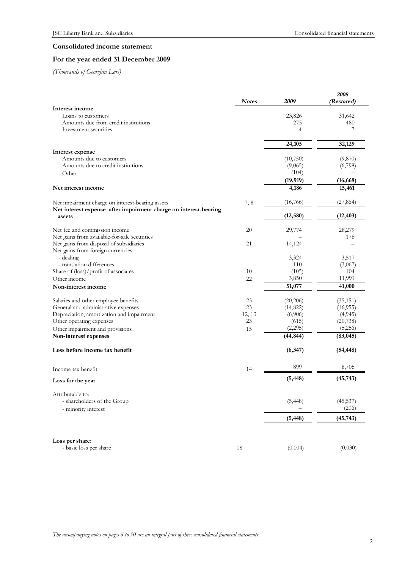# **Consolidated income statement**

# **For the year ended 31 December 2009**

|                                                                               | <b>Notes</b> | 2009                  | 2008<br>(Restated)   |
|-------------------------------------------------------------------------------|--------------|-----------------------|----------------------|
| Interest income                                                               |              |                       |                      |
| Loans to customers                                                            |              | 23,826                | 31,642               |
| Amounts due from credit institutions<br>Investment securities                 |              | 275<br>$\overline{4}$ | 480<br>7             |
|                                                                               |              |                       |                      |
|                                                                               |              | 24,105                | 32,129               |
| Interest expense                                                              |              |                       |                      |
| Amounts due to customers                                                      |              | (10,750)              | (9,870)              |
| Amounts due to credit institutions                                            |              | (9,065)               | (6,798)              |
| Other                                                                         |              | (104)                 |                      |
| Net interest income                                                           |              | (19, 919)<br>4,186    | (16, 668)<br>15,461  |
|                                                                               |              |                       |                      |
| Net impairment charge on interest-bearing assets                              | 7,8          | (16,766)              | (27, 864)            |
| Net interest expense after impairment charge on interest-bearing<br>assets    |              | (12, 580)             | (12, 403)            |
| Net fee and commission income                                                 | 20           | 29,774                | 28,279               |
| Net gains from available-for-sale securities                                  |              |                       | 176                  |
| Net gains from disposal of subsidiaries<br>Net gains from foreign currencies: | 21           | 14,124                |                      |
| - dealing                                                                     |              | 3,324                 | 3,517                |
| - translation differences                                                     |              | 110                   | (3,067)              |
| Share of (loss)/profit of associates                                          | 10           | (105)                 | 104                  |
| Other income                                                                  | 22           | 3,850                 | 11,991               |
| Non-interest income                                                           |              | 51,077                | 41,000               |
| Salaries and other employee benefits                                          | 23           | (20,206)              | (35, 151)            |
| General and administrative expenses                                           | 23           | (14, 822)             | (16,955)             |
| Depreciation, amortization and impairment                                     | 12, 13       | (6,906)               | (4, 945)             |
| Other operating expenses                                                      | 23           | (615)                 | (20, 738)            |
| Other impairment and provisions<br>Non-interest expenses                      | 15           | (2,295)<br>(44, 844)  | (5,256)<br>(83, 045) |
|                                                                               |              |                       |                      |
| Loss before income tax benefit                                                |              | (6, 347)              | (54, 448)            |
| Income tax benefit                                                            | 14           | 899                   | 8,705                |
| Loss for the year                                                             |              | (5, 448)              | (45, 743)            |
| Attributable to:<br>- shareholders of the Group                               |              | (5, 448)              | (45, 537)            |
| - minority interest                                                           |              |                       | (206)                |
|                                                                               |              | (5, 448)              | (45, 743)            |
| Loss per share:                                                               |              |                       |                      |
| - basic loss per share                                                        | $18\,$       | (0.004)               | (0.030)              |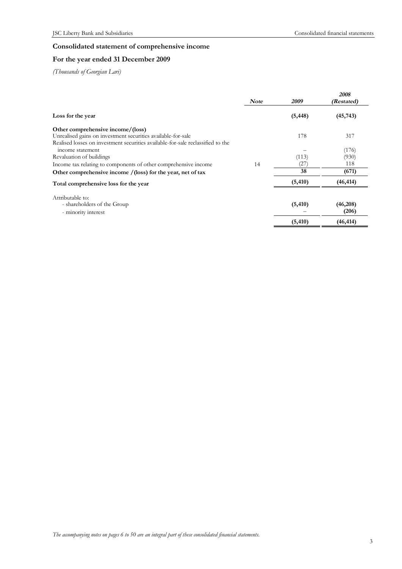# **Consolidated statement of comprehensive income**

# **For the year ended 31 December 2009**

| <b>Note</b> | 2009     | <i>2008</i><br>(Restated) |
|-------------|----------|---------------------------|
|             | (5, 448) | (45,743)                  |
|             |          |                           |
|             | 178      | 317                       |
|             |          |                           |
|             |          | (176)                     |
|             | (113)    | (930)                     |
| 14          | (27)     | 118                       |
|             | 38       | (671)                     |
|             | (5, 410) | (46, 414)                 |
|             |          |                           |
|             | (5, 410) | (46,208)                  |
|             |          | (206)                     |
|             | (5, 410) | (46, 414)                 |
|             |          |                           |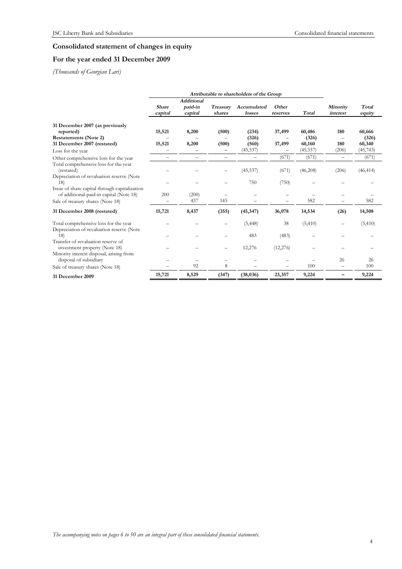# **Consolidated statement of changes in equity**

# **For the year ended 31 December 2009**

|                                                                                          | Attributable to shareholders of the Group |                                         |                           |                          |                   |                 |                             |                 |
|------------------------------------------------------------------------------------------|-------------------------------------------|-----------------------------------------|---------------------------|--------------------------|-------------------|-----------------|-----------------------------|-----------------|
|                                                                                          | <b>Share</b><br>capital                   | <b>Additional</b><br>paid-in<br>capital | <b>Treasury</b><br>shares | Accumulated<br>losses    | Other<br>reserves | Total           | <b>Minority</b><br>interest | Total<br>equity |
| 31 December 2007 (as previously<br>reported)                                             | 15,521                                    | 8,200                                   | (500)                     | (234)                    | 37,499            | 60,486          | 180                         | 60,666          |
| <b>Restatements (Note 2)</b><br>31 December 2007 (restated)                              | 15,521                                    | 8,200                                   | (500)                     | (326)<br>(560)           | 37,499            | (326)<br>60,160 | 180                         | (326)<br>60,340 |
| Loss for the year                                                                        |                                           |                                         | $\overline{\phantom{m}}$  | (45, 537)                |                   | (45, 537)       | (206)                       | (45, 743)       |
| Other comprehensive loss for the year<br>Total comprehensive loss for the year           | $\overline{\phantom{0}}$                  | $\overline{\phantom{0}}$                |                           | $\overline{\phantom{0}}$ | (671)             | (671)           | $\overline{\phantom{0}}$    | (671)           |
| (restated)                                                                               |                                           |                                         |                           | (45, 537)                | (671)             | (46,208)        | (206)                       | (46, 414)       |
| Depreciation of revaluation reserve (Note<br>18)                                         |                                           |                                         |                           | 750                      | (750)             |                 |                             |                 |
| Issue of share capital through capitalization<br>of additional-paid-in capital (Note 18) | 200                                       | (200)                                   |                           |                          |                   |                 |                             |                 |
| Sale of treasury shares (Note 18)                                                        |                                           | 437                                     | 145                       |                          |                   | 582             |                             | 582             |
| 31 December 2008 (restated)                                                              | 15,721                                    | 8,437                                   | (355)                     | (45, 347)                | 36,078            | 14,534          | (26)                        | 14,508          |
| Total comprehensive loss for the year<br>Depreciation of revaluation reserve (Note       |                                           |                                         | -                         | (5, 448)                 | 38                | (5, 410)        | $\overline{\phantom{0}}$    | (5, 410)        |
| 18)                                                                                      |                                           |                                         |                           | 483                      | (483)             |                 |                             |                 |
| Transfer of revaluation reserve of<br>investment property (Note 18)                      |                                           |                                         | $\overline{\phantom{0}}$  | 12,276                   | (12, 276)         |                 |                             |                 |
| Minority interest disposal, arising from<br>disposal of subsidiary                       |                                           |                                         |                           |                          |                   |                 | 26                          | 26              |
| Sale of treasury shares (Note 18)                                                        |                                           | 92                                      | 8                         |                          |                   | 100             | $\overline{\phantom{0}}$    | 100             |
| 31 December 2009                                                                         | 15,721                                    | 8,529                                   | (347)                     | (38, 036)                | 23,357            | 9,224           |                             | 9,224           |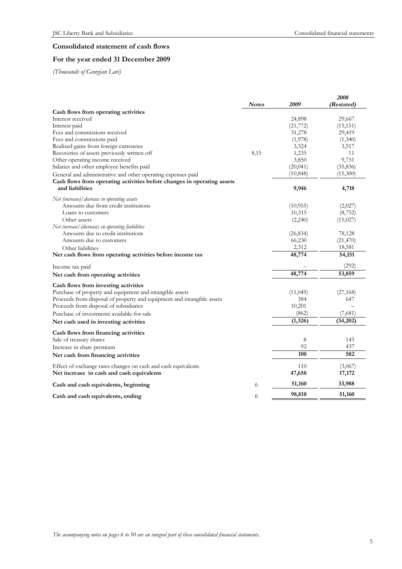# **Consolidated statement of cash flows**

# **For the year ended 31 December 2009**

|                                                                         | <b>Notes</b> | 2009      | 2008<br>(Restated) |
|-------------------------------------------------------------------------|--------------|-----------|--------------------|
| Cash flows from operating activities                                    |              |           |                    |
| Interest received                                                       |              | 24,898    | 29,667             |
| Interest paid                                                           |              | (21,772)  | (15, 151)          |
| Fees and commissions received                                           |              | 31,278    | 29,419             |
| Fees and commissions paid                                               |              | (1,978)   | (1,340)            |
| Realized gains from foreign currencies                                  |              | 3,324     | 3,517              |
| Recoveries of assets previously written off                             | 8,15         | 1,235     | 11                 |
| Other operating income received                                         |              | 3,850     | 9,731              |
| Salaries and other employee benefits paid                               |              | (20,041)  | (35, 836)          |
| General and administrative and other operating expenses paid            |              | (10, 848) | (15,300)           |
| Cash flows from operating activities before changes in operating assets |              |           |                    |
| and liabilities                                                         |              | 9,946     | 4,718              |
| Net (increase) decrease in operating assets                             |              |           |                    |
| Amounts due from credit institutions                                    |              | (10, 955) | (2,027)            |
| Loans to customers                                                      |              | 10,315    | (8, 752)           |
| Other assets                                                            |              | (2,240)   | (15,027)           |
| Net increase/(decrease) in operating liabilities                        |              |           |                    |
| Amounts due to credit institutions                                      |              | (26, 834) | 78,128             |
| Amounts due to customers                                                |              | 66,230    | (21, 470)          |
| Other liabilities                                                       |              | 2,312     | 18,581             |
| Net cash flows from operating activities before income tax              |              | 48,774    | 54,151             |
| Income tax paid                                                         |              |           | (292)              |
| Net cash from operating activities                                      |              | 48,774    | 53,859             |
| Cash flows from investing activities                                    |              |           |                    |
| Purchase of property and equipment and intangible assets                |              | (11,049)  | (27, 168)          |
| Proceeds from disposal of property and equipment and intangible assets  |              | 384       | 647                |
| Proceeds from disposal of subsidiaries                                  |              | 10,201    |                    |
| Purchase of investments available-for-sale                              |              | (862)     | (7,681)            |
| Net cash used in investing activities                                   |              | (1, 326)  | (34,202)           |
| Cash flows from financing activities                                    |              |           |                    |
| Sale of treasury shares                                                 |              | 8         | 145                |
| Increase in share premium                                               |              | 92        | 437                |
| Net cash from financing activities                                      |              | 100       | 582                |
| Effect of exchange rates changes on cash and cash equivalents           |              | 110       | (3,067)            |
| Net increase in cash and cash equivalents                               |              | 47,658    | 17,172             |
| Cash and cash equivalents, beginning                                    | 6            | 51,160    | 33,988             |
| Cash and cash equivalents, ending                                       | 6            | 98,818    | 51,160             |
|                                                                         |              |           |                    |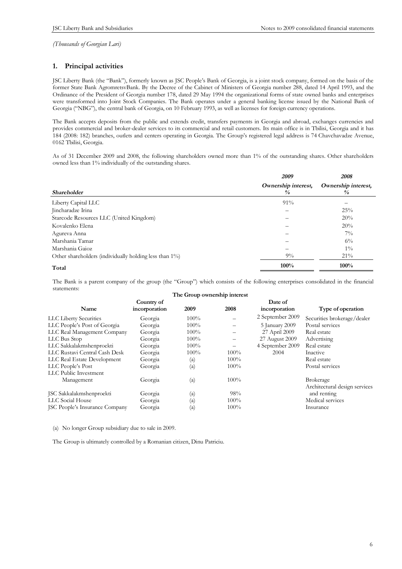# **1. Principal activities**

JSC Liberty Bank (the "Bank"), formerly known as JSC People's Bank of Georgia, is a joint stock company, formed on the basis of the former State Bank AgromretsvBank. By the Decree of the Cabinet of Ministers of Georgia number 288, dated 14 April 1993, and the Ordinance of the President of Georgia number 178, dated 29 May 1994 the organizational forms of state owned banks and enterprises were transformed into Joint Stock Companies. The Bank operates under a general banking license issued by the National Bank of Georgia ("NBG"), the central bank of Georgia, on 10 February 1993, as well as licenses for foreign currency operations.

The Bank accepts deposits from the public and extends credit, transfers payments in Georgia and abroad, exchanges currencies and provides commercial and broker-dealer services to its commercial and retail customers. Its main office is in Tbilisi, Georgia and it has 184 (2008: 182) branches, outlets and centers operating in Georgia. The Group's registered legal address is 74 Chavchavadze Avenue, 0162 Tbilisi, Georgia.

As of 31 December 2009 and 2008, the following shareholders owned more than 1% of the outstanding shares. Other shareholders owned less than 1% individually of the outstanding shares.

|                                                        | 2009                                 | 2008                                 |
|--------------------------------------------------------|--------------------------------------|--------------------------------------|
| <b>Shareholder</b>                                     | Ownership interest,<br>$\frac{6}{9}$ | Ownership interest,<br>$\frac{9}{6}$ |
| Liberty Capital LLC                                    | 91%                                  |                                      |
| Jincharadze Irina                                      | —                                    | 25%                                  |
| Starcode Resources LLC (United Kingdom)                |                                      | 20%                                  |
| Kovalenko Elena                                        |                                      | 20%                                  |
| Agureva Anna                                           |                                      | $7\%$                                |
| Marshania Tamar                                        |                                      | $6\%$                                |
| Marshania Gaioz                                        |                                      | $1\%$                                |
| Other shareholders (individually holding less than 1%) | $9\%$                                | 21%                                  |
| Total                                                  | 100%                                 | 100%                                 |

The Bank is a parent company of the group (the "Group") which consists of the following enterprises consolidated in the financial statements: **The Group ownership interest**

|                                       |               | The Group ownership interest |                          |                  |                               |
|---------------------------------------|---------------|------------------------------|--------------------------|------------------|-------------------------------|
|                                       | Country of    |                              |                          | Date of          |                               |
| Name                                  | incorporation | 2009                         | 2008                     | incorporation    | Type of operation             |
| <b>LLC Liberty Securities</b>         | Georgia       | $100\%$                      |                          | 2 September 2009 | Securities brokerage/dealer   |
| LLC People's Post of Georgia          | Georgia       | $100\%$                      |                          | 5 January 2009   | Postal services               |
| LLC Real Management Company           | Georgia       | $100\%$                      |                          | 27 April 2009    | Real estate                   |
| LLC Bus Stop                          | Georgia       | $100\%$                      |                          | 27 August 2009   | Advertising                   |
| LLC Sakkalakmshenproekti              | Georgia       | $100\%$                      | $\overline{\phantom{0}}$ | 4 September 2009 | Real estate                   |
| LLC Rustavi Central Cash Desk         | Georgia       | 100%                         | $100\%$                  | 2004             | Inactive                      |
| LLC Real Estate Development           | Georgia       | $\left( \text{a}\right)$     | $100\%$                  |                  | Real estate                   |
| LLC People's Post                     | Georgia       | (a)                          | $100\%$                  |                  | Postal services               |
| LLC Public Investment                 |               |                              |                          |                  |                               |
| Management                            | Georgia       | (a)                          | $100\%$                  |                  | <b>Brokerage</b>              |
|                                       |               |                              |                          |                  | Architectural design services |
| JSC Sakkalakmshenproekti              | Georgia       | $\left( \text{a}\right)$     | 98%                      |                  | and renting                   |
| LLC Social House                      | Georgia       | (a)                          | $100\%$                  |                  | Medical services              |
| <b>ISC People's Insurance Company</b> | Georgia       | (a)                          | $100\%$                  |                  | Insurance                     |
|                                       |               |                              |                          |                  |                               |

(a) No longer Group subsidiary due to sale in 2009.

The Group is ultimately controlled by a Romanian citizen, Dinu Patriciu.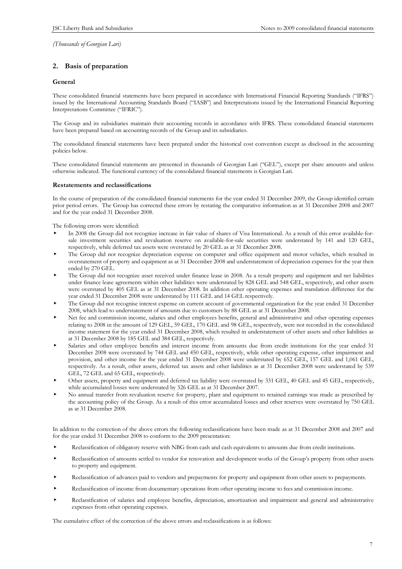# **2. Basis of preparation**

# **General**

These consolidated financial statements have been prepared in accordance with International Financial Reporting Standards ("IFRS") issued by the International Accounting Standards Board ("IASB") and Interpretations issued by the International Financial Reporting Interpretations Committee ("IFRIC").

The Group and its subsidiaries maintain their accounting records in accordance with IFRS. These consolidated financial statements have been prepared based on accounting records of the Group and its subsidiaries.

The consolidated financial statements have been prepared under the historical cost convention except as disclosed in the accounting policies below.

These consolidated financial statements are presented in thousands of Georgian Lari ("GEL"), except per share amounts and unless otherwise indicated. The functional currency of the consolidated financial statements is Georgian Lari.

# **Restatements and reclassifications**

In the course of preparation of the consolidated financial statements for the year ended 31 December 2009, the Group identified certain prior period errors. The Group has corrected these errors by restating the comparative information as at 31 December 2008 and 2007 and for the year ended 31 December 2008.

The following errors were identified:

- In 2008 the Group did not recognize increase in fair value of shares of Visa International. As a result of this error available-forsale investment securities and revaluation reserve on available-for-sale securities were understated by 141 and 120 GEL, respectively, while deferred tax assets were overstated by 20 GEL as at 31 December 2008.
- The Group did not recognize depreciation expense on computer and office equipment and motor vehicles, which resulted in overstatement of property and equipment as at 31 December 2008 and understatement of depreciation expenses for the year then ended by 270 GEL.
- The Group did not recognize asset received under finance lease in 2008. As a result property and equipment and net liabilities under finance lease agreements within other liabilities were understated by 828 GEL and 548 GEL, respectively, and other assets were overstated by 405 GEL as at 31 December 2008. In addition other operating expenses and translation difference for the year ended 31 December 2008 were understated by 111 GEL and 14 GEL respectively.
- The Group did not recognise interest expense on current account of governmental organization for the year ended 31 December 2008, which lead to understatement of amounts due to customers by 88 GEL as at 31 December 2008.
- Net fee and commission income, salaries and other employees benefits, general and administrative and other operating expenses relating to 2008 in the amount of 129 GEL, 59 GEL, 170 GEL and 98 GEL, respectively, were not recorded in the consolidated income statement for the year ended 31 December 2008, which resulted in understatement of other assets and other liabilities as at 31 December 2008 by 185 GEL and 384 GEL, respectively.
- Salaries and other employee benefits and interest income from amounts due from credit institutions for the year ended 31 December 2008 were overstated by 744 GEL and 450 GEL, respectively, while other operating expense, other impairment and provision, and other income for the year ended 31 December 2008 were understated by 652 GEL, 157 GEL and 1,061 GEL, respectively. As a result, other assets, deferred tax assets and other liabilities as at 31 December 2008 were understated by 539 GEL, 72 GEL and 65 GEL, respectively.
- Other assets, property and equipment and deferred tax liability were overstated by 331 GEL, 40 GEL and 45 GEL, respectively, while accumulated losses were understated by 326 GEL as at 31 December 2007.
- No annual transfer from revaluation reserve for property, plant and equipment to retained earnings was made as prescribed by the accounting policy of the Group. As a result of this error accumulated losses and other reserves were overstated by 750 GEL as at 31 December 2008.

In addition to the correction of the above errors the following reclassifications have been made as at 31 December 2008 and 2007 and for the year ended 31 December 2008 to conform to the 2009 presentation:

- Reclassification of obligatory reserve with NBG from cash and cash equivalents to amounts due from credit institutions.
- Reclassification of amounts settled to vendor for renovation and development works of the Group's property from other assets to property and equipment.
- Reclassification of advances paid to vendors and prepayments for property and equipment from other assets to prepayments.
- Reclassification of income from documentary operations from other operating income to fees and commission income.
- Reclassification of salaries and employee benefits, depreciation, amortization and impairment and general and administrative expenses from other operating expenses.

The cumulative effect of the correction of the above errors and reclassifications is as follows: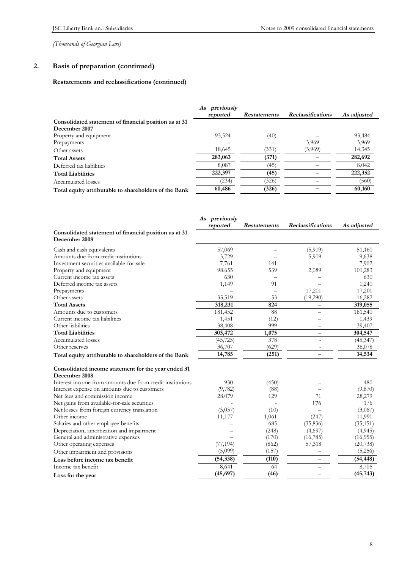# **2. Basis of preparation (continued)**

# **Restatements and reclassifications (continued)**

|                                                       | previously<br>As<br>reported | <b>Restatements</b> | <b>Reclassifications</b> | As adjusted |
|-------------------------------------------------------|------------------------------|---------------------|--------------------------|-------------|
| Consolidated statement of financial position as at 31 |                              |                     |                          |             |
| December 2007                                         |                              |                     |                          |             |
| Property and equipment                                | 93,524                       | (40)                |                          | 93,484      |
| Prepayments                                           |                              |                     | 3,969                    | 3,969       |
| Other assets                                          | 18,645                       | (331)               | (3,969)                  | 14,345      |
| <b>Total Assets</b>                                   | 283,063                      | (371)               |                          | 282,692     |
| Deferred tax liabilities                              | 8,087                        | (45)                |                          | 8,042       |
| <b>Total Liabilities</b>                              | 222,397                      | (45)                |                          | 222,352     |
| Accumulated losses                                    | (234)                        | (326)               |                          | (560)       |
| Total equity attributable to shareholders of the Bank | 60,486                       | (326)               |                          | 60,160      |

|                                                                        | As previously |              |                          |             |
|------------------------------------------------------------------------|---------------|--------------|--------------------------|-------------|
|                                                                        | reported      | Restatements | <b>Reclassifications</b> | As adjusted |
| Consolidated statement of financial position as at 31<br>December 2008 |               |              |                          |             |
| Cash and cash equivalents                                              | 57,069        |              | (5,909)                  | 51,160      |
| Amounts due from credit institutions                                   | 3,729         |              | 5,909                    | 9,638       |
| Investment securities available-for-sale                               | 7,761         | 141          |                          | 7,902       |
| Property and equipment                                                 | 98,655        | 539          | 2,089                    | 101,283     |
| Current income tax assets                                              | 630           |              |                          | 630         |
| Deferred income tax assets                                             | 1,149         | 91           |                          | 1,240       |
| Prepayments                                                            |               |              | 17,201                   | 17,201      |
| Other assets                                                           | 35,519        | 53           | (19,290)                 | 16,282      |
| <b>Total Assets</b>                                                    | 318,231       | 824          |                          | 319,055     |
| Amounts due to customers                                               | 181,452       | 88           |                          | 181,540     |
| Current income tax liabilities                                         | 1,451         | (12)         |                          | 1,439       |
| Other liabilities                                                      | 38,408        | 999          |                          | 39,407      |
| <b>Total Liabilities</b>                                               | 303,472       | 1,075        | -                        | 304,547     |
| Accumulated losses                                                     | (45, 725)     | 378          |                          | (45, 347)   |
| Other reserves                                                         | 36,707        | (629)        |                          | 36,078      |
| Total equity attributable to shareholders of the Bank                  | 14,785        | (251)        |                          | 14,534      |
| Consolidated income statement for the year ended 31                    |               |              |                          |             |
| December 2008                                                          |               |              |                          |             |
| Interest income from amounts due from credit institutions              | 930           | (450)        |                          | 480         |
| Interest expense on amounts due to customers                           | (9,782)       | (88)         |                          | (9,870)     |
| Net fees and commission income                                         | 28,079        | 129          | 71                       | 28,279      |
| Net gains from available-for-sale securities                           |               |              | 176                      | 176         |
| Net losses from foreign currency translation                           | (3,057)       | (10)         |                          | (3,067)     |
| Other income                                                           | 11,177        | 1,061        | (247)                    | 11,991      |
| Salaries and other employee benefits                                   |               | 685          | (35, 836)                | (35, 151)   |
| Depreciation, amortization and impairment                              |               | (248)        | (4,697)                  | (4, 945)    |
| General and administrative expenses                                    |               | (170)        | (16, 785)                | (16,955)    |
| Other operating expenses                                               | (77, 194)     | (862)        | 57,318                   | (20, 738)   |
| Other impairment and provisions                                        | (5,099)       | (157)        |                          | (5,256)     |
| Loss before income tax benefit                                         | (54, 338)     | (110)        |                          | (54, 448)   |
| Income tax benefit                                                     | 8,641         | 64           |                          | 8,705       |
| Loss for the year                                                      | (45, 697)     | (46)         |                          | (45, 743)   |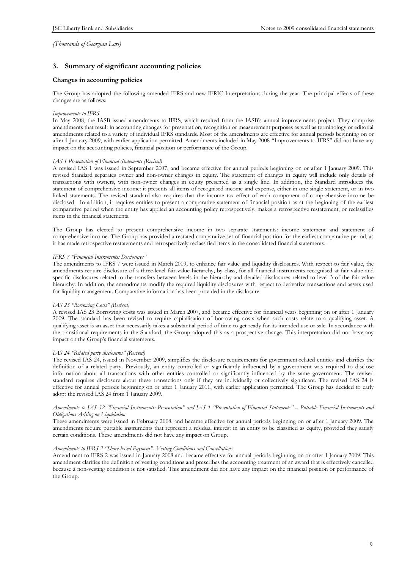# **3. Summary of significant accounting policies**

# **Changes in accounting policies**

The Group has adopted the following amended IFRS and new IFRIC Interpretations during the year. The principal effects of these changes are as follows:

### *Improvements to IFRS*

In May 2008, the IASB issued amendments to IFRS, which resulted from the IASB's annual improvements project. They comprise amendments that result in accounting changes for presentation, recognition or measurement purposes as well as terminology or editorial amendments related to a variety of individual IFRS standards. Most of the amendments are effective for annual periods beginning on or after 1 January 2009, with earlier application permitted. Amendments included in May 2008 "Improvements to IFRS" did not have any impact on the accounting policies, financial position or performance of the Group.

### *IAS 1 Presentation of Financial Statements (Revised)*

A revised IAS 1 was issued in September 2007, and became effective for annual periods beginning on or after 1 January 2009. This revised Standard separates owner and non-owner changes in equity. The statement of changes in equity will include only details of transactions with owners, with non-owner changes in equity presented as a single line. In addition, the Standard introduces the statement of comprehensive income: it presents all items of recognised income and expense, either in one single statement, or in two linked statements. The revised standard also requires that the income tax effect of each component of comprehensive income be disclosed. In addition, it requires entities to present a comparative statement of financial position as at the beginning of the earliest comparative period when the entity has applied an accounting policy retrospectively, makes a retrospective restatement, or reclassifies items in the financial statements.

The Group has elected to present comprehensive income in two separate statements: income statement and statement of comprehensive income. The Group has provided a restated comparative set of financial position for the earliest comparative period, as it has made retrospective restatements and retrospectively reclassified items in the consolidated financial statements.

# *IFRS 7 "Financial Instruments: Disclosures"*

The amendments to IFRS 7 were issued in March 2009, to enhance fair value and liquidity disclosures. With respect to fair value, the amendments require disclosure of a three-level fair value hierarchy, by class, for all financial instruments recognised at fair value and specific disclosures related to the transfers between levels in the hierarchy and detailed disclosures related to level 3 of the fair value hierarchy. In addition, the amendments modify the required liquidity disclosures with respect to derivative transactions and assets used for liquidity management. Comparative information has been provided in the disclosure.

### *IAS 23 "Borrowing Costs" (Revised)*

A revised IAS 23 Borrowing costs was issued in March 2007, and became effective for financial years beginning on or after 1 January 2009. The standard has been revised to require capitalisation of borrowing costs when such costs relate to a qualifying asset. A qualifying asset is an asset that necessarily takes a substantial period of time to get ready for its intended use or sale. In accordance with the transitional requirements in the Standard, the Group adopted this as a prospective change. This interpretation did not have any impact on the Group's financial statements.

### *IAS 24 "Related party disclosures" (Revised)*

The revised IAS 24, issued in November 2009, simplifies the disclosure requirements for government-related entities and clarifies the definition of a related party. Previously, an entity controlled or significantly influenced by a government was required to disclose information about all transactions with other entities controlled or significantly influenced by the same government. The revised standard requires disclosure about these transactions only if they are individually or collectively significant. The revised IAS 24 is effective for annual periods beginning on or after 1 January 2011, with earlier application permitted. The Group has decided to early adopt the revised IAS 24 from 1 January 2009.

### Amendments to LAS 32 'Financial Instruments: Presentation" and LAS 1 'Presentation of Financial Statements" - Puttable Financial Instruments and *Obligations Arising on Liquidation*

These amendments were issued in February 2008, and became effective for annual periods beginning on or after 1 January 2009. The amendments require puttable instruments that represent a residual interest in an entity to be classified as equity, provided they satisfy certain conditions. These amendments did not have any impact on Group.

### *Amendments to IFRS 2 "Share-based Payment"- Vesting Conditions and Cancellations*

Amendment to IFRS 2 was issued in January 2008 and became effective for annual periods beginning on or after 1 January 2009. This amendment clarifies the definition of vesting conditions and prescribes the accounting treatment of an award that is effectively cancelled because a non-vesting condition is not satisfied. This amendment did not have any impact on the financial position or performance of the Group.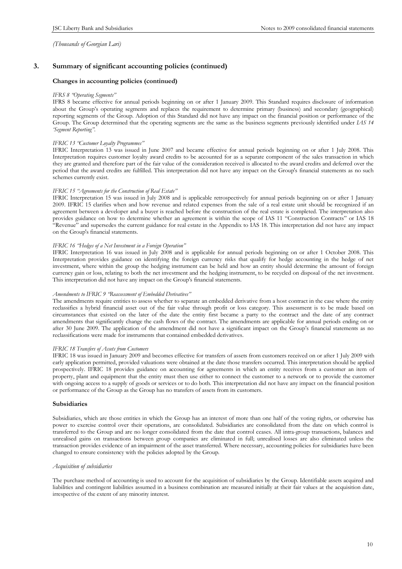# **3. Summary of significant accounting policies (continued)**

### **Changes in accounting policies (continued)**

### *IFRS 8 "Operating Segments"*

IFRS 8 became effective for annual periods beginning on or after 1 January 2009. This Standard requires disclosure of information about the Group's operating segments and replaces the requirement to determine primary (business) and secondary (geographical) reporting segments of the Group. Adoption of this Standard did not have any impact on the financial position or performance of the Group. The Group determined that the operating segments are the same as the business segments previously identified under *IAS 14 'Segment Reporting"*.

# *IFRIC 13 "Customer Loyalty Programmes"*

IFRIC Interpretation 13 was issued in June 2007 and became effective for annual periods beginning on or after 1 July 2008. This Interpretation requires customer loyalty award credits to be accounted for as a separate component of the sales transaction in which they are granted and therefore part of the fair value of the consideration received is allocated to the award credits and deferred over the period that the award credits are fulfilled. This interpretation did not have any impact on the Group's financial statements as no such schemes currently exist.

### *IFRIC 15 "Agreements for the Construction of Real Estate"*

IFRIC Interpretation 15 was issued in July 2008 and is applicable retrospectively for annual periods beginning on or after 1 January 2009. IFRIC 15 clarifies when and how revenue and related expenses from the sale of a real estate unit should be recognized if an agreement between a developer and a buyer is reached before the construction of the real estate is completed. The interpretation also provides guidance on how to determine whether an agreement is within the scope of IAS 11 "Construction Contracts" or IAS 18 "Revenue" and supersedes the current guidance for real estate in the Appendix to IAS 18. This interpretation did not have any impact on the Group's financial statements.

### *IFRIC 16 "Hedges of a Net Investment in a Foreign Operation"*

IFRIC Interpretation 16 was issued in July 2008 and is applicable for annual periods beginning on or after 1 October 2008. This Interpretation provides guidance on identifying the foreign currency risks that qualify for hedge accounting in the hedge of net investment, where within the group the hedging instrument can be held and how an entity should determine the amount of foreign currency gain or loss, relating to both the net investment and the hedging instrument, to be recycled on disposal of the net investment. This interpretation did not have any impact on the Group's financial statements.

### *Amendments to IFRIC 9 "Reassessment of Embedded Derivatives"*

The amendments require entities to assess whether to separate an embedded derivative from a host contract in the case where the entity reclassifies a hybrid financial asset out of the fair value through profit or loss category. This assessment is to be made based on circumstances that existed on the later of the date the entity first became a party to the contract and the date of any contract amendments that significantly change the cash flows of the contract. The amendments are applicable for annual periods ending on or after 30 June 2009. The application of the amendment did not have a significant impact on the Group's financial statements as no reclassifications were made for instruments that contained embedded derivatives.

#### *IFRIC 18 Transfers of Assets from Customers*

IFRIC 18 was issued in January 2009 and becomes effective for transfers of assets from customers received on or after 1 July 2009 with early application permitted, provided valuations were obtained at the date those transfers occurred. This interpretation should be applied prospectively. IFRIC 18 provides guidance on accounting for agreements in which an entity receives from a customer an item of property, plant and equipment that the entity must then use either to connect the customer to a network or to provide the customer with ongoing access to a supply of goods or services or to do both. This interpretation did not have any impact on the financial position or performance of the Group as the Group has no transfers of assets from its customers.

### **Subsidiaries**

Subsidiaries, which are those entities in which the Group has an interest of more than one half of the voting rights, or otherwise has power to exercise control over their operations, are consolidated. Subsidiaries are consolidated from the date on which control is transferred to the Group and are no longer consolidated from the date that control ceases. All intra-group transactions, balances and unrealised gains on transactions between group companies are eliminated in full; unrealised losses are also eliminated unless the transaction provides evidence of an impairment of the asset transferred. Where necessary, accounting policies for subsidiaries have been changed to ensure consistency with the policies adopted by the Group.

#### *Acquisition of subsidiaries*

The purchase method of accounting is used to account for the acquisition of subsidiaries by the Group. Identifiable assets acquired and liabilities and contingent liabilities assumed in a business combination are measured initially at their fair values at the acquisition date, irrespective of the extent of any minority interest.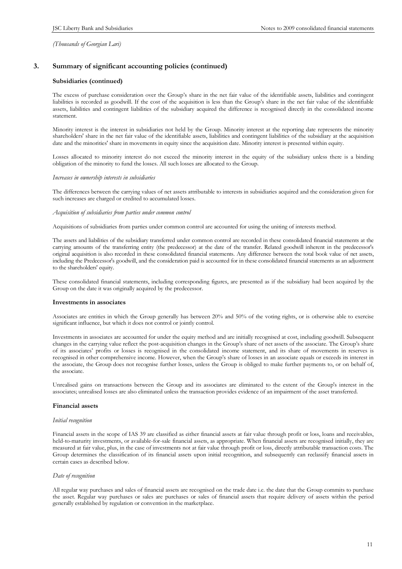# **3. Summary of significant accounting policies (continued)**

### **Subsidiaries (continued)**

The excess of purchase consideration over the Group's share in the net fair value of the identifiable assets, liabilities and contingent liabilities is recorded as goodwill. If the cost of the acquisition is less than the Group's share in the net fair value of the identifiable assets, liabilities and contingent liabilities of the subsidiary acquired the difference is recognised directly in the consolidated income statement.

Minority interest is the interest in subsidiaries not held by the Group. Minority interest at the reporting date represents the minority shareholders' share in the net fair value of the identifiable assets, liabilities and contingent liabilities of the subsidiary at the acquisition date and the minorities' share in movements in equity since the acquisition date. Minority interest is presented within equity.

Losses allocated to minority interest do not exceed the minority interest in the equity of the subsidiary unless there is a binding obligation of the minority to fund the losses. All such losses are allocated to the Group.

### *Increases in ownership interests in subsidiaries*

The differences between the carrying values of net assets attributable to interests in subsidiaries acquired and the consideration given for such increases are charged or credited to accumulated losses.

### *Acquisition of subsidiaries from parties under common control*

Acquisitions of subsidiaries from parties under common control are accounted for using the uniting of interests method.

The assets and liabilities of the subsidiary transferred under common control are recorded in these consolidated financial statements at the carrying amounts of the transferring entity (the predecessor) at the date of the transfer. Related goodwill inherent in the predecessor's original acquisition is also recorded in these consolidated financial statements. Any difference between the total book value of net assets, including the Predecessor's goodwill, and the consideration paid is accounted for in these consolidated financial statements as an adjustment to the shareholders' equity.

These consolidated financial statements, including corresponding figures, are presented as if the subsidiary had been acquired by the Group on the date it was originally acquired by the predecessor.

### **Investments in associates**

Associates are entities in which the Group generally has between 20% and 50% of the voting rights, or is otherwise able to exercise significant influence, but which it does not control or jointly control.

Investments in associates are accounted for under the equity method and are initially recognised at cost, including goodwill. Subsequent changes in the carrying value reflect the post-acquisition changes in the Group's share of net assets of the associate. The Group's share of its associates' profits or losses is recognised in the consolidated income statement, and its share of movements in reserves is recognised in other comprehensive income. However, when the Group's share of losses in an associate equals or exceeds its interest in the associate, the Group does not recognise further losses, unless the Group is obliged to make further payments to, or on behalf of, the associate.

Unrealised gains on transactions between the Group and its associates are eliminated to the extent of the Group's interest in the associates; unrealised losses are also eliminated unless the transaction provides evidence of an impairment of the asset transferred.

### **Financial assets**

#### *Initial recognition*

Financial assets in the scope of IAS 39 are classified as either financial assets at fair value through profit or loss, loans and receivables, held-to-maturity investments, or available-for-sale financial assets, as appropriate. When financial assets are recognised initially, they are measured at fair value, plus, in the case of investments not at fair value through profit or loss, directly attributable transaction costs. The Group determines the classification of its financial assets upon initial recognition, and subsequently can reclassify financial assets in certain cases as described below.

# *Date of recognition*

All regular way purchases and sales of financial assets are recognised on the trade date i.e. the date that the Group commits to purchase the asset. Regular way purchases or sales are purchases or sales of financial assets that require delivery of assets within the period generally established by regulation or convention in the marketplace.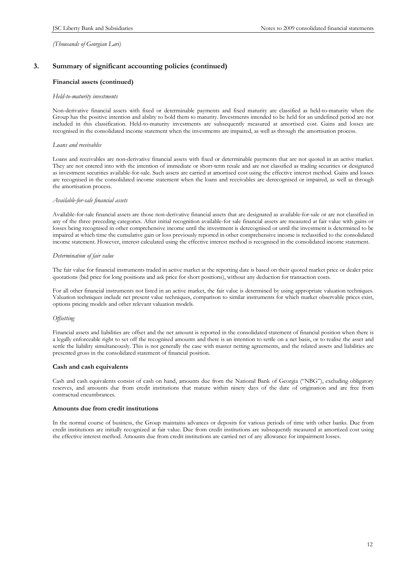# **3. Summary of significant accounting policies (continued)**

### **Financial assets (continued)**

### *Held-to-maturity investments*

Non-derivative financial assets with fixed or determinable payments and fixed maturity are classified as held-to-maturity when the Group has the positive intention and ability to hold them to maturity. Investments intended to be held for an undefined period are not included in this classification. Held-to-maturity investments are subsequently measured at amortised cost. Gains and losses are recognised in the consolidated income statement when the investments are impaired, as well as through the amortisation process.

### *Loans and receivables*

Loans and receivables are non-derivative financial assets with fixed or determinable payments that are not quoted in an active market. They are not entered into with the intention of immediate or short-term resale and are not classified as trading securities or designated as investment securities available-for-sale. Such assets are carried at amortised cost using the effective interest method. Gains and losses are recognised in the consolidated income statement when the loans and receivables are derecognised or impaired, as well as through the amortisation process.

### *Available-for-sale financial assets*

Available-for-sale financial assets are those non-derivative financial assets that are designated as available-for-sale or are not classified in any of the three preceding categories. After initial recognition available-for sale financial assets are measured at fair value with gains or losses being recognised in other comprehensive income until the investment is derecognised or until the investment is determined to be impaired at which time the cumulative gain or loss previously reported in other comprehensive income is reclassified to the consolidated income statement. However, interest calculated using the effective interest method is recognised in the consolidated income statement.

### *Determination of fair value*

The fair value for financial instruments traded in active market at the reporting date is based on their quoted market price or dealer price quotations (bid price for long positions and ask price for short positions), without any deduction for transaction costs.

For all other financial instruments not listed in an active market, the fair value is determined by using appropriate valuation techniques. Valuation techniques include net present value techniques, comparison to similar instruments for which market observable prices exist, options pricing models and other relevant valuation models.

### *Offsetting*

Financial assets and liabilities are offset and the net amount is reported in the consolidated statement of financial position when there is a legally enforceable right to set off the recognised amounts and there is an intention to settle on a net basis, or to realise the asset and settle the liability simultaneously. This is not generally the case with master netting agreements, and the related assets and liabilities are presented gross in the consolidated statement of financial position.

### **Cash and cash equivalents**

Cash and cash equivalents consist of cash on hand, amounts due from the National Bank of Georgia ("NBG"), excluding obligatory reserves, and amounts due from credit institutions that mature within ninety days of the date of origination and are free from contractual encumbrances.

### **Amounts due from credit institutions**

In the normal course of business, the Group maintains advances or deposits for various periods of time with other banks. Due from credit institutions are initially recognized at fair value. Due from credit institutions are subsequently measured at amortized cost using the effective interest method. Amounts due from credit institutions are carried net of any allowance for impairment losses.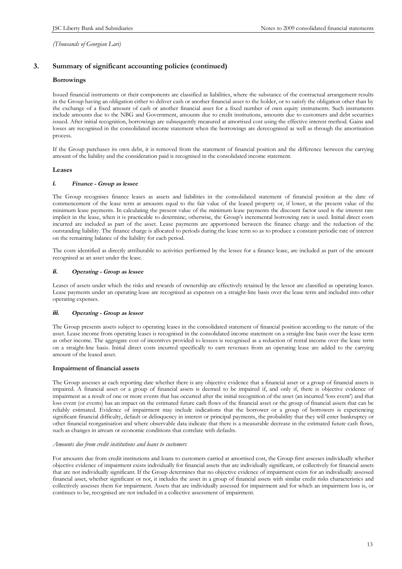# **3. Summary of significant accounting policies (continued)**

# **Borrowings**

Issued financial instruments or their components are classified as liabilities, where the substance of the contractual arrangement results in the Group having an obligation either to deliver cash or another financial asset to the holder, or to satisfy the obligation other than by the exchange of a fixed amount of cash or another financial asset for a fixed number of own equity instruments. Such instruments include amounts due to the NBG and Government, amounts due to credit institutions, amounts due to customers and debt securities issued. After initial recognition, borrowings are subsequently measured at amortised cost using the effective interest method. Gains and losses are recognised in the consolidated income statement when the borrowings are derecognised as well as through the amortisation process.

If the Group purchases its own debt, it is removed from the statement of financial position and the difference between the carrying amount of the liability and the consideration paid is recognised in the consolidated income statement.

# **Leases**

# *i. Finance - Group as lessee*

The Group recognises finance leases as assets and liabilities in the consolidated statement of financial position at the date of commencement of the lease term at amounts equal to the fair value of the leased property or, if lower, at the present value of the minimum lease payments. In calculating the present value of the minimum lease payments the discount factor used is the interest rate implicit in the lease, when it is practicable to determine; otherwise, the Group's incremental borrowing rate is used. Initial direct costs incurred are included as part of the asset. Lease payments are apportioned between the finance charge and the reduction of the outstanding liability. The finance charge is allocated to periods during the lease term so as to produce a constant periodic rate of interest on the remaining balance of the liability for each period.

The costs identified as directly attributable to activities performed by the lessee for a finance lease, are included as part of the amount recognised as an asset under the lease.

# *ii. Operating - Group as lessee*

Leases of assets under which the risks and rewards of ownership are effectively retained by the lessor are classified as operating leases. Lease payments under an operating lease are recognised as expenses on a straight-line basis over the lease term and included into other operating expenses.

# *iii. Operating - Group as lessor*

The Group presents assets subject to operating leases in the consolidated statement of financial position according to the nature of the asset. Lease income from operating leases is recognised in the consolidated income statement on a straight-line basis over the lease term as other income. The aggregate cost of incentives provided to lessees is recognised as a reduction of rental income over the lease term on a straight-line basis. Initial direct costs incurred specifically to earn revenues from an operating lease are added to the carrying amount of the leased asset.

# **Impairment of financial assets**

The Group assesses at each reporting date whether there is any objective evidence that a financial asset or a group of financial assets is impaired. A financial asset or a group of financial assets is deemed to be impaired if, and only if, there is objective evidence of impairment as a result of one or more events that has occurred after the initial recognition of the asset (an incurred 'loss event') and that loss event (or events) has an impact on the estimated future cash flows of the financial asset or the group of financial assets that can be reliably estimated. Evidence of impairment may include indications that the borrower or a group of borrowers is experiencing significant financial difficulty, default or delinquency in interest or principal payments, the probability that they will enter bankruptcy or other financial reorganisation and where observable data indicate that there is a measurable decrease in the estimated future cash flows, such as changes in arrears or economic conditions that correlate with defaults.

### *Amounts due from credit institutions and loans to customers*

For amounts due from credit institutions and loans to customers carried at amortised cost, the Group first assesses individually whether objective evidence of impairment exists individually for financial assets that are individually significant, or collectively for financial assets that are not individually significant. If the Group determines that no objective evidence of impairment exists for an individually assessed financial asset, whether significant or not, it includes the asset in a group of financial assets with similar credit risks characteristics and collectively assesses them for impairment. Assets that are individually assessed for impairment and for which an impairment loss is, or continues to be, recognised are not included in a collective assessment of impairment.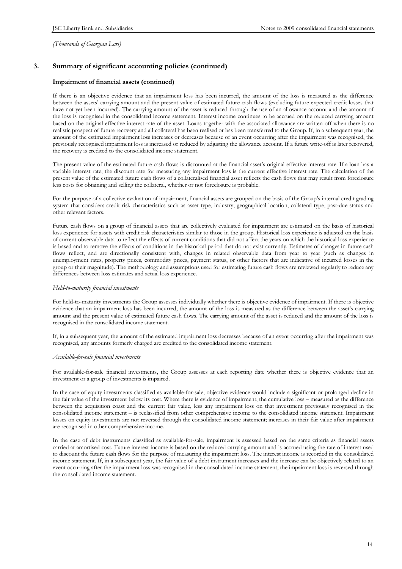# **3. Summary of significant accounting policies (continued)**

### **Impairment of financial assets (continued)**

If there is an objective evidence that an impairment loss has been incurred, the amount of the loss is measured as the difference between the assets' carrying amount and the present value of estimated future cash flows (excluding future expected credit losses that have not yet been incurred). The carrying amount of the asset is reduced through the use of an allowance account and the amount of the loss is recognised in the consolidated income statement. Interest income continues to be accrued on the reduced carrying amount based on the original effective interest rate of the asset. Loans together with the associated allowance are written off when there is no realistic prospect of future recovery and all collateral has been realised or has been transferred to the Group. If, in a subsequent year, the amount of the estimated impairment loss increases or decreases because of an event occurring after the impairment was recognised, the previously recognised impairment loss is increased or reduced by adjusting the allowance account. If a future write-off is later recovered, the recovery is credited to the consolidated income statement.

The present value of the estimated future cash flows is discounted at the financial asset's original effective interest rate. If a loan has a variable interest rate, the discount rate for measuring any impairment loss is the current effective interest rate. The calculation of the present value of the estimated future cash flows of a collateralised financial asset reflects the cash flows that may result from foreclosure less costs for obtaining and selling the collateral, whether or not foreclosure is probable.

For the purpose of a collective evaluation of impairment, financial assets are grouped on the basis of the Group's internal credit grading system that considers credit risk characteristics such as asset type, industry, geographical location, collateral type, past-due status and other relevant factors.

Future cash flows on a group of financial assets that are collectively evaluated for impairment are estimated on the basis of historical loss experience for assets with credit risk characteristics similar to those in the group. Historical loss experience is adjusted on the basis of current observable data to reflect the effects of current conditions that did not affect the years on which the historical loss experience is based and to remove the effects of conditions in the historical period that do not exist currently. Estimates of changes in future cash flows reflect, and are directionally consistent with, changes in related observable data from year to year (such as changes in unemployment rates, property prices, commodity prices, payment status, or other factors that are indicative of incurred losses in the group or their magnitude). The methodology and assumptions used for estimating future cash flows are reviewed regularly to reduce any differences between loss estimates and actual loss experience.

### *Held-to-maturity financial investments*

For held-to-maturity investments the Group assesses individually whether there is objective evidence of impairment. If there is objective evidence that an impairment loss has been incurred, the amount of the loss is measured as the difference between the asset's carrying amount and the present value of estimated future cash flows. The carrying amount of the asset is reduced and the amount of the loss is recognised in the consolidated income statement.

If, in a subsequent year, the amount of the estimated impairment loss decreases because of an event occurring after the impairment was recognised, any amounts formerly charged are credited to the consolidated income statement.

### *Available-for-sale financial investments*

For available-for-sale financial investments, the Group assesses at each reporting date whether there is objective evidence that an investment or a group of investments is impaired.

In the case of equity investments classified as available-for-sale, objective evidence would include a significant or prolonged decline in the fair value of the investment below its cost. Where there is evidence of impairment, the cumulative loss – measured as the difference between the acquisition coast and the current fair value, less any impairment loss on that investment previously recognised in the consolidated income statement – is reclassified from other comprehensive income to the consolidated income statement. Impairment losses on equity investments are not reversed through the consolidated income statement; increases in their fair value after impairment are recognised in other comprehensive income.

In the case of debt instruments classified as available-for-sale, impairment is assessed based on the same criteria as financial assets carried at amortised cost. Future interest income is based on the reduced carrying amount and is accrued using the rate of interest used to discount the future cash flows for the purpose of measuring the impairment loss. The interest income is recorded in the consolidated income statement. If, in a subsequent year, the fair value of a debt instrument increases and the increase can be objectively related to an event occurring after the impairment loss was recognised in the consolidated income statement, the impairment loss is reversed through the consolidated income statement.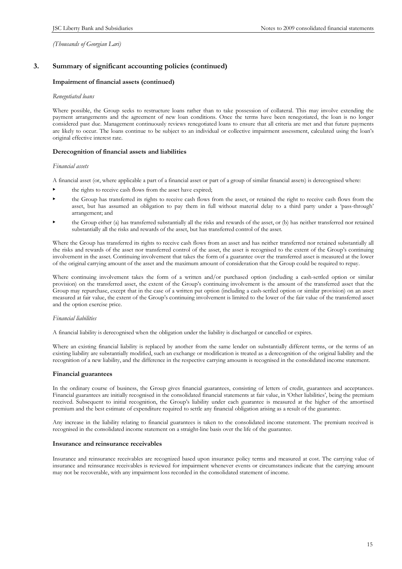# **3. Summary of significant accounting policies (continued)**

# **Impairment of financial assets (continued)**

### *Renegotiated loans*

Where possible, the Group seeks to restructure loans rather than to take possession of collateral. This may involve extending the payment arrangements and the agreement of new loan conditions. Once the terms have been renegotiated, the loan is no longer considered past due. Management continuously reviews renegotiated loans to ensure that all criteria are met and that future payments are likely to occur. The loans continue to be subject to an individual or collective impairment assessment, calculated using the loan's original effective interest rate.

# **Derecognition of financial assets and liabilities**

### *Financial assets*

A financial asset (or, where applicable a part of a financial asset or part of a group of similar financial assets) is derecognised where:

- the rights to receive cash flows from the asset have expired;
- the Group has transferred its rights to receive cash flows from the asset, or retained the right to receive cash flows from the asset, but has assumed an obligation to pay them in full without material delay to a third party under a 'pass-through' arrangement; and
- the Group either (a) has transferred substantially all the risks and rewards of the asset, or (b) has neither transferred nor retained substantially all the risks and rewards of the asset, but has transferred control of the asset.

Where the Group has transferred its rights to receive cash flows from an asset and has neither transferred nor retained substantially all the risks and rewards of the asset nor transferred control of the asset, the asset is recognised to the extent of the Group's continuing involvement in the asset. Continuing involvement that takes the form of a guarantee over the transferred asset is measured at the lower of the original carrying amount of the asset and the maximum amount of consideration that the Group could be required to repay.

Where continuing involvement takes the form of a written and/or purchased option (including a cash-settled option or similar provision) on the transferred asset, the extent of the Group's continuing involvement is the amount of the transferred asset that the Group may repurchase, except that in the case of a written put option (including a cash-settled option or similar provision) on an asset measured at fair value, the extent of the Group's continuing involvement is limited to the lower of the fair value of the transferred asset and the option exercise price.

# *Financial liabilities*

A financial liability is derecognised when the obligation under the liability is discharged or cancelled or expires.

Where an existing financial liability is replaced by another from the same lender on substantially different terms, or the terms of an existing liability are substantially modified, such an exchange or modification is treated as a derecognition of the original liability and the recognition of a new liability, and the difference in the respective carrying amounts is recognised in the consolidated income statement.

# **Financial guarantees**

In the ordinary course of business, the Group gives financial guarantees, consisting of letters of credit, guarantees and acceptances. Financial guarantees are initially recognised in the consolidated financial statements at fair value, in 'Other liabilities', being the premium received. Subsequent to initial recognition, the Group's liability under each guarantee is measured at the higher of the amortised premium and the best estimate of expenditure required to settle any financial obligation arising as a result of the guarantee.

Any increase in the liability relating to financial guarantees is taken to the consolidated income statement. The premium received is recognised in the consolidated income statement on a straight-line basis over the life of the guarantee.

# **Insurance and reinsurance receivables**

Insurance and reinsurance receivables are recognized based upon insurance policy terms and measured at cost. The carrying value of insurance and reinsurance receivables is reviewed for impairment whenever events or circumstances indicate that the carrying amount may not be recoverable, with any impairment loss recorded in the consolidated statement of income.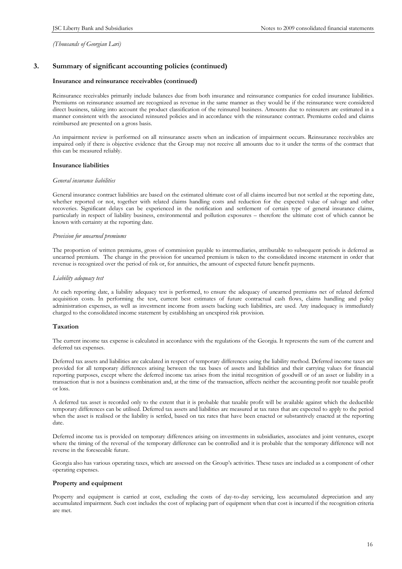# **3. Summary of significant accounting policies (continued)**

### **Insurance and reinsurance receivables (continued)**

Reinsurance receivables primarily include balances due from both insurance and reinsurance companies for ceded insurance liabilities. Premiums on reinsurance assumed are recognized as revenue in the same manner as they would be if the reinsurance were considered direct business, taking into account the product classification of the reinsured business. Amounts due to reinsurers are estimated in a manner consistent with the associated reinsured policies and in accordance with the reinsurance contract. Premiums ceded and claims reimbursed are presented on a gross basis.

An impairment review is performed on all reinsurance assets when an indication of impairment occurs. Reinsurance receivables are impaired only if there is objective evidence that the Group may not receive all amounts due to it under the terms of the contract that this can be measured reliably.

### **Insurance liabilities**

### *General insurance liabilities*

General insurance contract liabilities are based on the estimated ultimate cost of all claims incurred but not settled at the reporting date, whether reported or not, together with related claims handling costs and reduction for the expected value of salvage and other recoveries. Significant delays can be experienced in the notification and settlement of certain type of general insurance claims, particularly in respect of liability business, environmental and pollution exposures – therefore the ultimate cost of which cannot be known with certainty at the reporting date.

### *Provision for unearned premiums*

The proportion of written premiums, gross of commission payable to intermediaries, attributable to subsequent periods is deferred as unearned premium. The change in the provision for unearned premium is taken to the consolidated income statement in order that revenue is recognized over the period of risk or, for annuities, the amount of expected future benefit payments.

### *Liability adequacy test*

At each reporting date, a liability adequacy test is performed, to ensure the adequacy of unearned premiums net of related deferred acquisition costs. In performing the test, current best estimates of future contractual cash flows, claims handling and policy administration expenses, as well as investment income from assets backing such liabilities, are used. Any inadequacy is immediately charged to the consolidated income statement by establishing an unexpired risk provision.

### **Taxation**

The current income tax expense is calculated in accordance with the regulations of the Georgia. It represents the sum of the current and deferred tax expenses.

Deferred tax assets and liabilities are calculated in respect of temporary differences using the liability method. Deferred income taxes are provided for all temporary differences arising between the tax bases of assets and liabilities and their carrying values for financial reporting purposes, except where the deferred income tax arises from the initial recognition of goodwill or of an asset or liability in a transaction that is not a business combination and, at the time of the transaction, affects neither the accounting profit nor taxable profit or loss.

A deferred tax asset is recorded only to the extent that it is probable that taxable profit will be available against which the deductible temporary differences can be utilised. Deferred tax assets and liabilities are measured at tax rates that are expected to apply to the period when the asset is realised or the liability is settled, based on tax rates that have been enacted or substantively enacted at the reporting date.

Deferred income tax is provided on temporary differences arising on investments in subsidiaries, associates and joint ventures, except where the timing of the reversal of the temporary difference can be controlled and it is probable that the temporary difference will not reverse in the foreseeable future.

Georgia also has various operating taxes, which are assessed on the Group's activities. These taxes are included as a component of other operating expenses.

### **Property and equipment**

Property and equipment is carried at cost, excluding the costs of day-to-day servicing, less accumulated depreciation and any accumulated impairment. Such cost includes the cost of replacing part of equipment when that cost is incurred if the recognition criteria are met.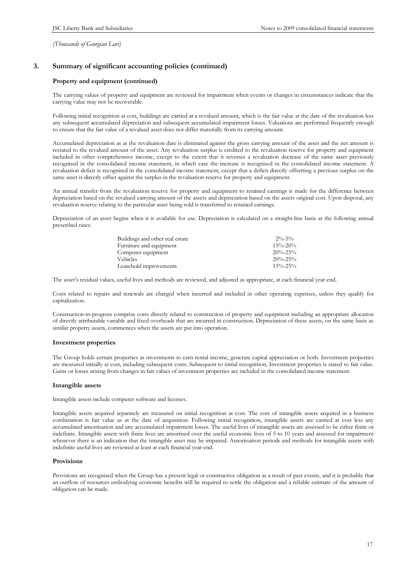# **3. Summary of significant accounting policies (continued)**

# **Property and equipment (continued)**

The carrying values of property and equipment are reviewed for impairment when events or changes in circumstances indicate that the carrying value may not be recoverable.

Following initial recognition at cost, buildings are carried at a revalued amount, which is the fair value at the date of the revaluation less any subsequent accumulated depreciation and subsequent accumulated impairment losses. Valuations are performed frequently enough to ensure that the fair value of a revalued asset does not differ materially from its carrying amount.

Accumulated depreciation as at the revaluation date is eliminated against the gross carrying amount of the asset and the net amount is restated to the revalued amount of the asset. Any revaluation surplus is credited to the revaluation reserve for property and equipment included in other comprehensive income, except to the extent that it reverses a revaluation decrease of the same asset previously recognised in the consolidated income statement, in which case the increase is recognised in the consolidated income statement. A revaluation deficit is recognised in the consolidated income statement, except that a deficit directly offsetting a previous surplus on the same asset is directly offset against the surplus in the revaluation reserve for property and equipment.

An annual transfer from the revaluation reserve for property and equipment to retained earnings is made for the difference between depreciation based on the revalued carrying amount of the assets and depreciation based on the assets original cost. Upon disposal, any revaluation reserve relating to the particular asset being sold is transferred to retained earnings.

Depreciation of an asset begins when it is available for use. Depreciation is calculated on a straight-line basis at the following annual prescribed rates:

| Buildings and other real estate | $2\% - 5\%$   |
|---------------------------------|---------------|
| Furniture and equipment         | $15\% - 20\%$ |
| Computer equipment              | $20\% - 25\%$ |
| Vehicles                        | $20\% - 25\%$ |
| Leasehold improvements          | $15\% - 25\%$ |

The asset's residual values, useful lives and methods are reviewed, and adjusted as appropriate, at each financial year-end.

Costs related to repairs and renewals are charged when incurred and included in other operating expenses, unless they qualify for capitalization.

Construction-in-progress comprise costs directly related to construction of property and equipment including an appropriate allocation of directly attributable variable and fixed overheads that are incurred in construction. Depreciation of these assets, on the same basis as similar property assets, commences when the assets are put into operation.

# **Investment properties**

The Group holds certain properties as investments to earn rental income, generate capital appreciation or both. Investment properties are measured initially at cost, including subsequent costs. Subsequent to initial recognition, Investment properties is stated to fair value. Gains or losses arising from changes in fair values of investment properties are included in the consolidated income statement.

# **Intangible assets**

Intangible assets include computer software and licenses.

Intangible assets acquired separately are measured on initial recognition at cost. The cost of intangible assets acquired in a business combination is fair value as at the date of acquisition. Following initial recognition, intangible assets are carried at cost less any accumulated amortisation and any accumulated impairment losses. The useful lives of intangible assets are assessed to be either finite or indefinite. Intangible assets with finite lives are amortised over the useful economic lives of 5 to 10 years and assessed for impairment whenever there is an indication that the intangible asset may be impaired. Amortisation periods and methods for intangible assets with indefinite useful lives are reviewed at least at each financial year-end.

# **Provisions**

Provisions are recognised when the Group has a present legal or constructive obligation as a result of past events, and it is probable that an outflow of resources embodying economic benefits will be required to settle the obligation and a reliable estimate of the amount of obligation can be made.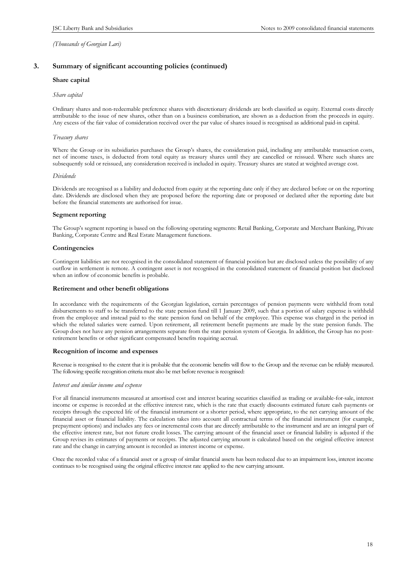# **3. Summary of significant accounting policies (continued)**

# **Share capital**

### *Share capital*

Ordinary shares and non-redeemable preference shares with discretionary dividends are both classified as equity. External costs directly attributable to the issue of new shares, other than on a business combination, are shown as a deduction from the proceeds in equity. Any excess of the fair value of consideration received over the par value of shares issued is recognised as additional paid-in capital.

### *Treasury shares*

Where the Group or its subsidiaries purchases the Group's shares, the consideration paid, including any attributable transaction costs, net of income taxes, is deducted from total equity as treasury shares until they are cancelled or reissued. Where such shares are subsequently sold or reissued, any consideration received is included in equity. Treasury shares are stated at weighted average cost.

### *Dividends*

Dividends are recognised as a liability and deducted from equity at the reporting date only if they are declared before or on the reporting date. Dividends are disclosed when they are proposed before the reporting date or proposed or declared after the reporting date but before the financial statements are authorised for issue.

### **Segment reporting**

The Group's segment reporting is based on the following operating segments: Retail Banking, Corporate and Merchant Banking, Private Banking, Corporate Centre and Real Estate Management functions.

### **Contingencies**

Contingent liabilities are not recognised in the consolidated statement of financial position but are disclosed unless the possibility of any outflow in settlement is remote. A contingent asset is not recognised in the consolidated statement of financial position but disclosed when an inflow of economic benefits is probable.

### **Retirement and other benefit obligations**

In accordance with the requirements of the Georgian legislation, certain percentages of pension payments were withheld from total disbursements to staff to be transferred to the state pension fund till 1 January 2009, such that a portion of salary expense is withheld from the employee and instead paid to the state pension fund on behalf of the employee. This expense was charged in the period in which the related salaries were earned. Upon retirement, all retirement benefit payments are made by the state pension funds. The Group does not have any pension arrangements separate from the state pension system of Georgia. In addition, the Group has no postretirement benefits or other significant compensated benefits requiring accrual.

### **Recognition of income and expenses**

Revenue is recognised to the extent that it is probable that the economic benefits will flow to the Group and the revenue can be reliably measured. The following specific recognition criteria must also be met before revenue is recognised:

### *Interest and similar income and expense*

For all financial instruments measured at amortised cost and interest bearing securities classified as trading or available-for-sale, interest income or expense is recorded at the effective interest rate, which is the rate that exactly discounts estimated future cash payments or receipts through the expected life of the financial instrument or a shorter period, where appropriate, to the net carrying amount of the financial asset or financial liability. The calculation takes into account all contractual terms of the financial instrument (for example, prepayment options) and includes any fees or incremental costs that are directly attributable to the instrument and are an integral part of the effective interest rate, but not future credit losses. The carrying amount of the financial asset or financial liability is adjusted if the Group revises its estimates of payments or receipts. The adjusted carrying amount is calculated based on the original effective interest rate and the change in carrying amount is recorded as interest income or expense.

Once the recorded value of a financial asset or a group of similar financial assets has been reduced due to an impairment loss, interest income continues to be recognised using the original effective interest rate applied to the new carrying amount.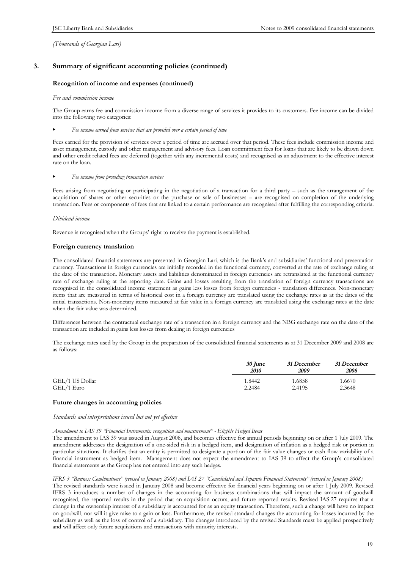# **3. Summary of significant accounting policies (continued)**

# **Recognition of income and expenses (continued)**

### *Fee and commission income*

The Group earns fee and commission income from a diverse range of services it provides to its customers. Fee income can be divided into the following two categories:

• *Fee income earned from services that are provided over a certain period of time*

Fees earned for the provision of services over a period of time are accrued over that period. These fees include commission income and asset management, custody and other management and advisory fees. Loan commitment fees for loans that are likely to be drawn down and other credit related fees are deferred (together with any incremental costs) and recognised as an adjustment to the effective interest rate on the loan.

### • *Fee income from providing transaction services*

Fees arising from negotiating or participating in the negotiation of a transaction for a third party – such as the arrangement of the acquisition of shares or other securities or the purchase or sale of businesses – are recognised on completion of the underlying transaction. Fees or components of fees that are linked to a certain performance are recognised after fulfilling the corresponding criteria.

### *Dividend income*

Revenue is recognised when the Groups' right to receive the payment is established.

### **Foreign currency translation**

The consolidated financial statements are presented in Georgian Lari, which is the Bank's and subsidiaries' functional and presentation currency. Transactions in foreign currencies are initially recorded in the functional currency, converted at the rate of exchange ruling at the date of the transaction. Monetary assets and liabilities denominated in foreign currencies are retranslated at the functional currency rate of exchange ruling at the reporting date. Gains and losses resulting from the translation of foreign currency transactions are recognised in the consolidated income statement as gains less losses from foreign currencies - translation differences. Non-monetary items that are measured in terms of historical cost in a foreign currency are translated using the exchange rates as at the dates of the initial transactions. Non-monetary items measured at fair value in a foreign currency are translated using the exchange rates at the date when the fair value was determined.

Differences between the contractual exchange rate of a transaction in a foreign currency and the NBG exchange rate on the date of the transaction are included in gains less losses from dealing in foreign currencies

The exchange rates used by the Group in the preparation of the consolidated financial statements as at 31 December 2009 and 2008 are as follows:

|                 | <i>30 June</i> | 31 December | 31 December |
|-----------------|----------------|-------------|-------------|
|                 | 2010           | 2009        | 2008        |
| GEL/1 US Dollar | 1.8442         | 1.6858      | 1.6670      |
| GEL/1 Euro      | 2.2484         | 2.4195      | 2.3648      |

# **Future changes in accounting policies**

# *Standards and interpretations issued but not yet effective*

### *Amendment to IAS 39 "Financial Instruments: recognition and measurement" - Eligible Hedged Items*

The amendment to IAS 39 was issued in August 2008, and becomes effective for annual periods beginning on or after 1 July 2009. The amendment addresses the designation of a one-sided risk in a hedged item, and designation of inflation as a hedged risk or portion in particular situations. It clarifies that an entity is permitted to designate a portion of the fair value changes or cash flow variability of a financial instrument as hedged item. Management does not expect the amendment to IAS 39 to affect the Group's consolidated financial statements as the Group has not entered into any such hedges.

#### IFRS 3 "Business Combinations" (revised in January 2008) and LAS 27 "Consolidated and Separate Financial Statements" (revised in January 2008)

The revised standards were issued in January 2008 and become effective for financial years beginning on or after 1 July 2009. Revised IFRS 3 introduces a number of changes in the accounting for business combinations that will impact the amount of goodwill recognised, the reported results in the period that an acquisition occurs, and future reported results. Revised IAS 27 requires that a change in the ownership interest of a subsidiary is accounted for as an equity transaction. Therefore, such a change will have no impact on goodwill, nor will it give raise to a gain or loss. Furthermore, the revised standard changes the accounting for losses incurred by the subsidiary as well as the loss of control of a subsidiary. The changes introduced by the revised Standards must be applied prospectively and will affect only future acquisitions and transactions with minority interests.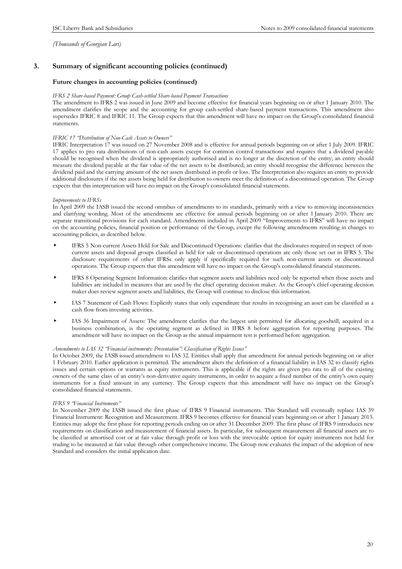# **3. Summary of significant accounting policies (continued)**

# **Future changes in accounting policies (continued)**

### *IFRS 2 Share-based Payment: Group Cash-settled Share-based Payment Transactions*

The amendment to IFRS 2 was issued in June 2009 and become effective for financial years beginning on or after 1 January 2010. The amendment clarifies the scope and the accounting for group cash-settled share-based payment transactions. This amendment also supersedes IFRIC 8 and IFRIC 11. The Group expects that this amendment will have no impact on the Group's consolidated financial statements.

# *IFRIC 17 "Distribution of Non-Cash Assets to Owners"*

IFRIC Interpretation 17 was issued on 27 November 2008 and is effective for annual periods beginning on or after 1 July 2009. IFRIC 17 applies to pro rata distributions of non-cash assets except for common control transactions and requires that a dividend payable should be recognised when the dividend is appropriately authorised and is no longer at the discretion of the entity; an entity should measure the dividend payable at the fair value of the net assets to be distributed; an entity should recognise the difference between the dividend paid and the carrying amount of the net assets distributed in profit or loss. The Interpretation also requires an entity to provide additional disclosures if the net assets being held for distribution to owners meet the definition of a discontinued operation. The Group expects that this interpretation will have no impact on the Group's consolidated financial statements.

### *Improvements to IFRSs*

In April 2009 the IASB issued the second omnibus of amendments to its standards, primarily with a view to removing inconsistencies and clarifying wording. Most of the amendments are effective for annual periods beginning on or after 1 January 2010. There are separate transitional provisions for each standard. Amendments included in April 2009 "Improvements to IFRS" will have no impact on the accounting policies, financial position or performance of the Group, except the following amendments resulting in changes to accounting policies, as described below.

- IFRS 5 Non-current Assets Held for Sale and Discontinued Operations: clarifies that the disclosures required in respect of noncurrent assets and disposal groups classified as held for sale or discontinued operations are only those set out in IFRS 5. The disclosure requirements of other IFRSs only apply if specifically required for such non-current assets or discontinued operations. The Group expects that this amendment will have no impact on the Group's consolidated financial statements.
- IFRS 8 Operating Segment Information: clarifies that segment assets and liabilities need only be reported when those assets and liabilities are included in measures that are used by the chief operating decision maker. As the Group's chief operating decision maker does review segment assets and liabilities, the Group will continue to disclose this information.
- IAS 7 Statement of Cash Flows: Explicitly states that only expenditure that results in recognising an asset can be classified as a cash flow from investing activities.
- IAS 36 Impairment of Assets: The amendment clarifies that the largest unit permitted for allocating goodwill, acquired in a business combination, is the operating segment as defined in IFRS 8 before aggregation for reporting purposes. The amendment will have no impact on the Group as the annual impairment test is performed before aggregation.

### *Amendments to IAS 32 "Financial instruments: Presentation": Classification of Rights Issues"*

In October 2009, the IASB issued amendment to IAS 32. Entities shall apply that amendment for annual periods beginning on or after 1 February 2010. Earlier application is permitted. The amendment alters the definition of a financial liability in IAS 32 to classify rights issues and certain options or warrants as equity instruments. This is applicable if the rights are given pro rata to all of the existing owners of the same class of an entity's non-derivative equity instruments, in order to acquire a fixed number of the entity's own equity instruments for a fixed amount in any currency. The Group expects that this amendment will have no impact on the Group's consolidated financial statements.

### *IFRS 9 "Financial Instruments"*

In November 2009 the IASB issued the first phase of IFRS 9 Financial instruments. This Standard will eventually replace IAS 39 Financial Instrument: Recognition and Measurement. IFRS 9 becomes effective for financial years beginning on or after 1 January 2013. Entities may adopt the first phase for reporting periods ending on or after 31 December 2009. The first phase of IFRS 9 introduces new requirements on classification and measurement of financial assets. In particular, for subsequent measurement all financial assets are to be classified at amortised cost or at fair value through profit or loss with the irrevocable option for equity instruments not held for trading to be measured at fair value through other comprehensive income. The Group now evaluates the impact of the adoption of new Standard and considers the initial application date.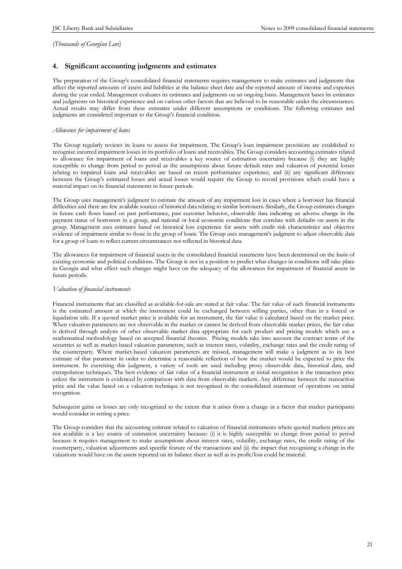# **4. Significant accounting judgments and estimates**

The preparation of the Group's consolidated financial statements requires management to make estimates and judgments that affect the reported amounts of assets and liabilities at the balance sheet date and the reported amount of income and expenses during the year ended. Management evaluates its estimates and judgments on an ongoing basis. Management bases its estimates and judgments on historical experience and on various other factors that are believed to be reasonable under the circumstances. Actual results may differ from these estimates under different assumptions or conditions. The following estimates and judgments are considered important to the Group's financial condition.

# *Allowance for impairment of loans*

The Group regularly reviews its loans to assess for impairment. The Group's loan impairment provisions are established to recognize incurred impairment losses in its portfolio of loans and receivables. The Group considers accounting estimates related to allowance for impairment of loans and receivables a key source of estimation uncertainty because (i) they are highly susceptible to change from period to period as the assumptions about future default rates and valuation of potential losses relating to impaired loans and receivables are based on recent performance experience, and (ii) any significant difference between the Group's estimated losses and actual losses would require the Group to record provisions which could have a material impact on its financial statements in future periods.

The Group uses management's judgment to estimate the amount of any impairment loss in cases where a borrower has financial difficulties and there are few available sources of historical data relating to similar borrowers. Similarly, the Group estimates changes in future cash flows based on past performance, past customer behavior, observable data indicating an adverse change in the payment status of borrowers in a group, and national or local economic conditions that correlate with defaults on assets in the group. Management uses estimates based on historical loss experience for assets with credit risk characteristics and objective evidence of impairment similar to those in the group of loans. The Group uses management's judgment to adjust observable data for a group of loans to reflect current circumstances not reflected in historical data.

The allowances for impairment of financial assets in the consolidated financial statements have been determined on the basis of existing economic and political conditions. The Group is not in a position to predict what changes in conditions will take place in Georgia and what effect such changes might have on the adequacy of the allowances for impairment of financial assets in future periods.

### *Valuation of financial instruments*

Financial instruments that are classified as available-for-sale are stated at fair value. The fair value of such financial instruments is the estimated amount at which the instrument could be exchanged between willing parties, other than in a forced or liquidation sale. If a quoted market price is available for an instrument, the fair value is calculated based on the market price. When valuation parameters are not observable in the market or cannot be derived from observable market prices, the fair value is derived through analysis of other observable market data appropriate for each product and pricing models which use a mathematical methodology based on accepted financial theories. Pricing models take into account the contract terms of the securities as well as market-based valuation parameters, such as interest rates, volatility, exchange rates and the credit rating of the counterparty. Where market-based valuation parameters are missed, management will make a judgment as to its best estimate of that parameter in order to determine a reasonable reflection of how the market would be expected to price the instrument. In exercising this judgment, a variety of tools are used including proxy observable data, historical data, and extrapolation techniques. The best evidence of fair value of a financial instrument at initial recognition is the transaction price unless the instrument is evidenced by comparison with data from observable markets. Any difference between the transaction price and the value based on a valuation technique is not recognized in the consolidated statement of operations on initial recognition.

Subsequent gains or losses are only recognized to the extent that it arises from a change in a factor that market participants would consider in setting a price.

The Group considers that the accounting estimate related to valuation of financial instruments where quoted markets prices are not available is a key source of estimation uncertainty because: (i) it is highly susceptible to change from period to period because it requires management to make assumptions about interest rates, volatility, exchange rates, the credit rating of the counterparty, valuation adjustments and specific feature of the transactions and (ii) the impact that recognizing a change in the valuations would have on the assets reported on its balance sheet as well as its profit/loss could be material.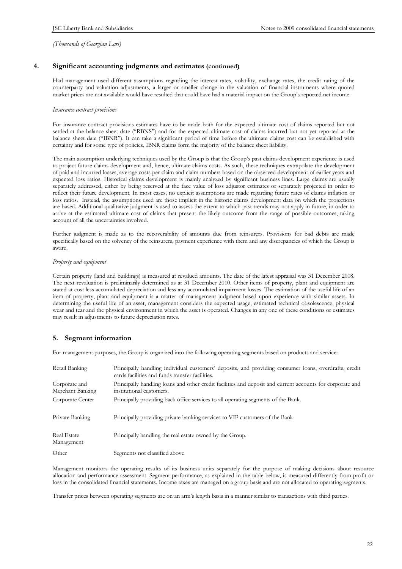# **4. Significant accounting judgments and estimates (continued)**

Had management used different assumptions regarding the interest rates, volatility, exchange rates, the credit rating of the counterparty and valuation adjustments, a larger or smaller change in the valuation of financial instruments where quoted market prices are not available would have resulted that could have had a material impact on the Group's reported net income.

# *Insurance contract provisions*

For insurance contract provisions estimates have to be made both for the expected ultimate cost of claims reported but not settled at the balance sheet date ("RBNS") and for the expected ultimate cost of claims incurred but not yet reported at the balance sheet date ("IBNR"). It can take a significant period of time before the ultimate claims cost can be established with certainty and for some type of policies, IBNR claims form the majority of the balance sheet liability.

The main assumption underlying techniques used by the Group is that the Group's past claims development experience is used to project future claims development and, hence, ultimate claims costs. As such, these techniques extrapolate the development of paid and incurred losses, average costs per claim and claim numbers based on the observed development of earlier years and expected loss ratios. Historical claims development is mainly analyzed by significant business lines. Large claims are usually separately addressed, either by being reserved at the face value of loss adjustor estimates or separately projected in order to reflect their future development. In most cases, no explicit assumptions are made regarding future rates of claims inflation or loss ratios. Instead, the assumptions used are those implicit in the historic claims development data on which the projections are based. Additional qualitative judgment is used to assess the extent to which past trends may not apply in future, in order to arrive at the estimated ultimate cost of claims that present the likely outcome from the range of possible outcomes, taking account of all the uncertainties involved.

Further judgment is made as to the recoverability of amounts due from reinsurers. Provisions for bad debts are made specifically based on the solvency of the reinsurers, payment experience with them and any discrepancies of which the Group is aware.

### *Property and equipment*

Certain property (land and buildings) is measured at revalued amounts. The date of the latest appraisal was 31 December 2008. The next revaluation is preliminarily determined as at 31 December 2010. Other items of property, plant and equipment are stated at cost less accumulated depreciation and less any accumulated impairment losses. The estimation of the useful life of an item of property, plant and equipment is a matter of management judgment based upon experience with similar assets. In determining the useful life of an asset, management considers the expected usage, estimated technical obsolescence, physical wear and tear and the physical environment in which the asset is operated. Changes in any one of these conditions or estimates may result in adjustments to future depreciation rates.

# **5. Segment information**

For management purposes, the Group is organized into the following operating segments based on products and service:

| Retail Banking                    | Principally handling individual customers' deposits, and providing consumer loans, overdrafts, credit<br>cards facilities and funds transfer facilities. |
|-----------------------------------|----------------------------------------------------------------------------------------------------------------------------------------------------------|
| Corporate and<br>Merchant Banking | Principally handling loans and other credit facilities and deposit and current accounts for corporate and<br>institutional customers.                    |
| Corporate Center                  | Principally providing back office services to all operating segments of the Bank.                                                                        |
| Private Banking                   | Principally providing private banking services to VIP customers of the Bank                                                                              |
| Real Estate<br>Management         | Principally handling the real estate owned by the Group.                                                                                                 |
| Other                             | Segments not classified above                                                                                                                            |

Management monitors the operating results of its business units separately for the purpose of making decisions about resource allocation and performance assessment. Segment performance, as explained in the table below, is measured differently from profit or loss in the consolidated financial statements. Income taxes are managed on a group basis and are not allocated to operating segments.

Transfer prices between operating segments are on an arm's length basis in a manner similar to transactions with third parties.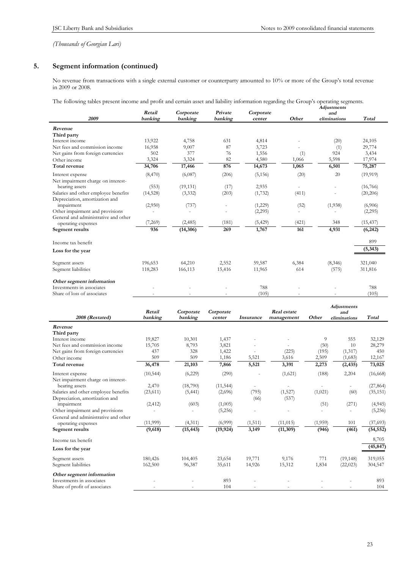# **5. Segment information (continued)**

No revenue from transactions with a single external customer or counterparty amounted to 10% or more of the Group's total revenue in 2009 or 2008.

The following tables present income and profit and certain asset and liability information regarding the Group's operating segments.

|                                      | Retail   | Corporate | Private | Corporate |        | Adjustments         |           |
|--------------------------------------|----------|-----------|---------|-----------|--------|---------------------|-----------|
| 2009                                 | banking  | banking   | banking | center    | Other  | and<br>eliminations | Total     |
| Revenue                              |          |           |         |           |        |                     |           |
| Third party                          |          |           |         |           |        |                     |           |
| Interest income                      | 13,922   | 4,758     | 631     | 4,814     |        | (20)                | 24,105    |
| Net fees and commission income       | 16,958   | 9,007     | 87      | 3,723     |        | (1)                 | 29,774    |
| Net gains from foreign currencies    | 502      | 377       | 76      | 1,556     | (1)    | 924                 | 3,434     |
| Other income                         | 3,324    | 3,324     | 82      | 4,580     | 1,066  | 5,598               | 17,974    |
| Total revenue                        | 34,706   | 17,466    | 876     | 14,673    | 1,065  | 6,501               | 75,287    |
| Interest expense                     | (8,470)  | (6,087)   | (206)   | (5, 156)  | (20)   | 20                  | (19, 919) |
| Net impairment charge on interest-   |          |           |         |           |        |                     |           |
| bearing assets                       | (553)    | (19, 131) | (17)    | 2,935     | $\sim$ |                     | (16,766)  |
| Salaries and other employee benefits | (14,528) | (3,332)   | (203)   | (1,732)   | (411)  |                     | (20, 206) |
| Depreciation, amortization and       |          |           |         |           |        |                     |           |
| impairment                           | (2,950)  | (737)     |         | (1,229)   | (52)   | (1,938)             | (6,906)   |
| Other impairment and provisions      |          |           |         | (2,295)   |        |                     | (2,295)   |
| General and administrative and other |          |           |         |           |        | 348                 |           |
| operating expenses                   | (7,269)  | (2,485)   | (181)   | (5, 429)  | (421)  |                     | (15, 437) |
| Segment results                      | 936      | (14, 306) | 269     | 1,767     | 161    | 4,931               | (6,242)   |
| Income tax benefit                   |          |           |         |           |        |                     | 899       |
| Loss for the year                    |          |           |         |           |        |                     | (5, 343)  |
|                                      |          |           |         |           |        |                     |           |
| Segment assets                       | 196,653  | 64,210    | 2,552   | 59,587    | 6,384  | (8,346)             | 321,040   |
| Segment liabilities                  | 118,283  | 166,113   | 15,416  | 11,965    | 614    | (575)               | 311,816   |
| Other segment information            |          |           |         |           |        |                     |           |
| Investments in associates            |          |           |         | 788       |        |                     | 788       |
| Share of loss of associates          |          |           |         | (105)     |        |                     | (105)     |

| 2008 (Restated)                      | Retail<br>banking | Corporate<br>banking | Corporate<br>center | <i><b>Insurance</b></i> | Real estate<br>management | Other   | <b>Adjustments</b><br>and<br>eliminations | Total     |
|--------------------------------------|-------------------|----------------------|---------------------|-------------------------|---------------------------|---------|-------------------------------------------|-----------|
| Revenue                              |                   |                      |                     |                         |                           |         |                                           |           |
| Third party                          |                   |                      |                     |                         |                           |         |                                           |           |
| Interest income                      | 19,827            | 10,301               | 1,437               |                         |                           | 9       | 555                                       | 32,129    |
| Net fees and commission income       | 15,705            | 8,793                | 3,821               |                         |                           | (50)    | 10                                        | 28,279    |
| Net gains from foreign currencies    | 437               | 328                  | 1,422               |                         | (225)                     | (195)   | (1,317)                                   | 450       |
| Other income                         | 509               | 509                  | 1,186               | 5,521                   | 3,616                     | 2,509   | (1,683)                                   | 12,167    |
| Total revenue                        | 36,478            | 21,103               | 7,866               | 5,521                   | 3,391                     | 2,273   | (2, 435)                                  | 73,025    |
| Interest expense                     | (10, 544)         | (6,229)              | (290)               |                         | (1,621)                   | (188)   | 2,204                                     | (16, 668) |
| Net impairment charge on interest-   |                   |                      |                     |                         |                           |         |                                           |           |
| bearing assets                       | 2,470             | (18,790)             | (11, 544)           |                         | $\sim$                    |         | $\overline{\phantom{a}}$                  | (27, 864) |
| Salaries and other employee benefits | (23, 611)         | (5, 441)             | (2,696)             | (795)                   | (1,527)                   | (1,021) | (60)                                      | (35, 151) |
| Depreciation, amortization and       |                   |                      |                     | (66)                    | (537)                     |         |                                           |           |
| impairment                           | (2, 412)          | (603)                | (1,005)             |                         |                           | (51)    | (271)                                     | (4, 945)  |
| Other impairment and provisions      |                   |                      | (5,256)             |                         |                           |         |                                           | (5,256)   |
| General and administrative and other |                   |                      |                     |                         |                           |         |                                           |           |
| operating expenses                   | (11,999)          | (4,311)              | (6,999)             | (1,511)                 | (11, 015)                 | (1,959) | 101                                       | (37, 693) |
| Segment results                      | (9,618)           | (15, 443)            | (19, 924)           | 3,149                   | (11, 309)                 | (946)   | (461)                                     | (54, 552) |
| Income tax benefit                   |                   |                      |                     |                         |                           |         |                                           | 8,705     |
| Loss for the year                    |                   |                      |                     |                         |                           |         |                                           | (45, 847) |
| Segment assets                       | 180,426           | 104,405              | 23,654              | 19,771                  | 9,176                     | 771     | (19, 148)                                 | 319,055   |
| Segment liabilities                  | 162,500           | 96,387               | 35,611              | 14,926                  | 15,312                    | 1,834   | (22, 023)                                 | 304,547   |
| Other segment information            |                   |                      |                     |                         |                           |         |                                           |           |
| Investments in associates            |                   |                      | 893                 |                         |                           |         |                                           | 893       |
| Share of profit of associates        |                   |                      | 104                 |                         |                           |         |                                           | 104       |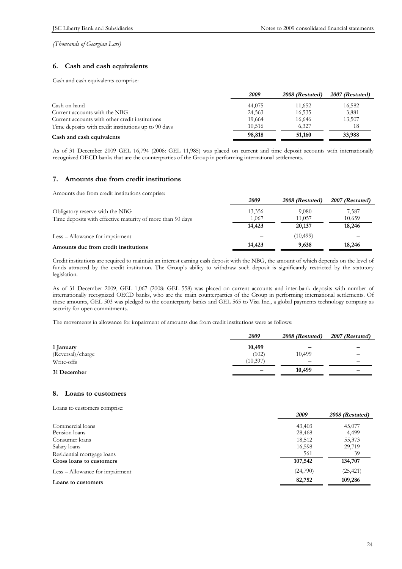# **6. Cash and cash equivalents**

Cash and cash equivalents comprise:

|                                                      | 2009   | 2008 (Restated) | 2007 (Restated) |
|------------------------------------------------------|--------|-----------------|-----------------|
| Cash on hand                                         | 44,075 | 11,652          | 16,582          |
| Current accounts with the NBG                        | 24,563 | 16,535          | 3,881           |
| Current accounts with other credit institutions      | 19,664 | 16,646          | 13,507          |
| Time deposits with credit institutions up to 90 days | 10.516 | 6.327           |                 |
| Cash and cash equivalents                            | 98,818 | 51,160          | 33,988          |

As of 31 December 2009 GEL 16,794 (2008: GEL 11,985) was placed on current and time deposit accounts with internationally recognized OECD banks that are the counterparties of the Group in performing international settlements.

# **7. Amounts due from credit institutions**

Amounts due from credit institutions comprise:

|        |          | 2007 (Restated) |
|--------|----------|-----------------|
| 13,356 | 9.080    | 7,587           |
| 1.067  | 11,057   | 10,659          |
| 14,423 | 20,137   | 18,246          |
|        | (10.499) |                 |
| 14,423 | 9,638    | 18,246          |
|        | 2009     | 2008 (Restated) |

Credit institutions are required to maintain an interest earning cash deposit with the NBG, the amount of which depends on the level of funds attracted by the credit institution. The Group's ability to withdraw such deposit is significantly restricted by the statutory legislation.

As of 31 December 2009, GEL 1,067 (2008: GEL 558) was placed on current accounts and inter-bank deposits with number of internationally recognized OECD banks, who are the main counterparties of the Group in performing international settlements. Of these amounts, GEL 503 was pledged to the counterparty banks and GEL 565 to Visa Inc., a global payments technology company as security for open commitments.

The movements in allowance for impairment of amounts due from credit institutions were as follows:

|                   | 2009      | 2008 (Restated) | 2007 (Restated) |
|-------------------|-----------|-----------------|-----------------|
| 1 January         | 10,499    |                 |                 |
| (Reversal)/charge | (102)     | 10,499          |                 |
| Write-offs        | (10, 397) |                 |                 |
| 31 December       | -         | 10,499          | -               |

# **8. Loans to customers**

Loans to customers comprise:

|                                 | 2009     | 2008 (Restated) |
|---------------------------------|----------|-----------------|
| Commercial loans                | 43,403   | 45,077          |
| Pension loans                   | 28,468   | 4,499           |
| Consumer loans                  | 18,512   | 55,373          |
| Salary loans                    | 16,598   | 29,719          |
| Residential mortgage loans      | 561      | 39              |
| Gross loans to customers        | 107,542  | 134,707         |
| Less – Allowance for impairment | (24,790) | (25, 421)       |
| Loans to customers              | 82,752   | 109,286         |
|                                 |          |                 |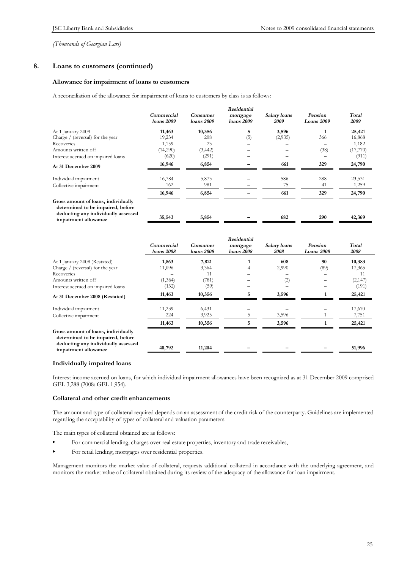# **8. Loans to customers (continued)**

# **Allowance for impairment of loans to customers**

A reconciliation of the allowance for impairment of loans to customers by class is as follows:

|                                                                                                                                         |                                 |                        | <b>Residential</b>            |                      |                                     |               |
|-----------------------------------------------------------------------------------------------------------------------------------------|---------------------------------|------------------------|-------------------------------|----------------------|-------------------------------------|---------------|
|                                                                                                                                         | Commercial<br><i>loans</i> 2009 | Consumer<br>loans 2009 | mortgage<br><i>loans</i> 2009 | Salary loans<br>2009 | <b>Pension</b><br><b>Loans 2009</b> | Total<br>2009 |
| At 1 January 2009                                                                                                                       | 11,463                          | 10,356                 | 5                             | 3,596                |                                     | 25,421        |
| Charge / (reversal) for the year                                                                                                        | 19,234                          | 208                    | (5)                           | (2,935)              | 366                                 | 16,868        |
| Recoveries                                                                                                                              | 1,159                           | 23                     |                               |                      |                                     | 1,182         |
| Amounts written off                                                                                                                     | (14,290)                        | (3,442)                |                               |                      | (38)                                | (17,770)      |
| Interest accrued on impaired loans                                                                                                      | (620)                           | (291)                  |                               |                      |                                     | (911)         |
| At 31 December 2009                                                                                                                     | 16,946                          | 6,854                  |                               | 661                  | 329                                 | 24,790        |
| Individual impairment                                                                                                                   | 16,784                          | 5,873                  |                               | 586                  | 288                                 | 23,531        |
| Collective impairment                                                                                                                   | 162                             | 981                    |                               | 75                   | 41                                  | 1,259         |
|                                                                                                                                         | 16,946                          | 6,854                  |                               | 661                  | 329                                 | 24,790        |
| Gross amount of loans, individually<br>determined to be impaired, before<br>deducting any individually assessed<br>impairment allowance | 35,543                          | 5,854                  |                               | 682                  | 290                                 | 42,369        |

|                                                                                                                                         | Commercial<br><i>loans</i> 2008 | Consumer<br>loans 2008 | <b>Residential</b><br>mortgage<br>loans 2008 | Salary loans<br>2008 | <b>Pension</b><br>Loans 2008 | Total<br>2008 |
|-----------------------------------------------------------------------------------------------------------------------------------------|---------------------------------|------------------------|----------------------------------------------|----------------------|------------------------------|---------------|
| At 1 January 2008 (Restated)                                                                                                            | 1,863                           | 7,821                  |                                              | 608                  | 90                           | 10,383        |
| Charge / (reversal) for the year                                                                                                        | 11,096                          | 3,364                  |                                              | 2,990                | (89)                         | 17,365        |
| Recoveries                                                                                                                              |                                 | 11                     |                                              |                      |                              | 11            |
| Amounts written off                                                                                                                     | (1, 364)                        | (781)                  |                                              | (2)                  |                              | (2,147)       |
| Interest accrued on impaired loans                                                                                                      | (132)                           | (59)                   |                                              |                      |                              | (191)         |
| At 31 December 2008 (Restated)                                                                                                          | 11,463                          | 10,356                 | 5.                                           | 3,596                |                              | 25,421        |
| Individual impairment                                                                                                                   | 11,239                          | 6,431                  |                                              |                      |                              | 17,670        |
| Collective impairment                                                                                                                   | 224                             | 3,925                  | 5.                                           | 3,596                |                              | 7,751         |
|                                                                                                                                         | 11,463                          | 10,356                 | 5.                                           | 3,596                |                              | 25,421        |
| Gross amount of loans, individually<br>determined to be impaired, before<br>deducting any individually assessed<br>impairment allowance | 40,792                          | 11,204                 |                                              |                      |                              | 51,996        |

### **Individually impaired loans**

Interest income accrued on loans, for which individual impairment allowances have been recognized as at 31 December 2009 comprised GEL 3,288 (2008: GEL 1,954).

# **Collateral and other credit enhancements**

The amount and type of collateral required depends on an assessment of the credit risk of the counterparty. Guidelines are implemented regarding the acceptability of types of collateral and valuation parameters.

The main types of collateral obtained are as follows:

- For commercial lending, charges over real estate properties, inventory and trade receivables,
- For retail lending, mortgages over residential properties.

Management monitors the market value of collateral, requests additional collateral in accordance with the underlying agreement, and monitors the market value of collateral obtained during its review of the adequacy of the allowance for loan impairment.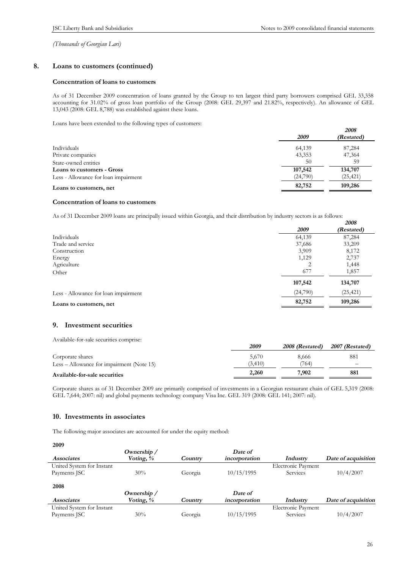# **8. Loans to customers (continued)**

# **Concentration of loans to customers**

As of 31 December 2009 concentration of loans granted by the Group to ten largest third party borrowers comprised GEL 33,358 accounting for 31.02% of gross loan portfolio of the Group (2008: GEL 29,397 and 21.82%, respectively). An allowance of GEL 13,043 (2008: GEL 8,788) was established against these loans.

Loans have been extended to the following types of customers:

|                                      | 2009     | <i>2008</i><br>(Restated) |
|--------------------------------------|----------|---------------------------|
| Individuals                          | 64,139   | 87,284                    |
| Private companies                    | 43,353   | 47,364                    |
| State-owned entities                 | 50       | 59                        |
| Loans to customers - Gross           | 107,542  | 134,707                   |
| Less - Allowance for loan impairment | (24,790) | (25, 421)                 |
| Loans to customers, net              | 82,752   | 109,286                   |

# **Concentration of loans to customers**

As of 31 December 2009 loans are principally issued within Georgia, and their distribution by industry sectors is as follows: *2008*

|                                      |          | ∠∪∪o       |
|--------------------------------------|----------|------------|
|                                      | 2009     | (Restated) |
| Individuals                          | 64,139   | 87,284     |
| Trade and service                    | 37,686   | 33,209     |
| Construction                         | 3,909    | 8,172      |
| Energy                               | 1,129    | 2,737      |
| Agriculture                          |          | 1,448      |
| Other                                | 677      | 1,857      |
|                                      | 107,542  | 134,707    |
| Less - Allowance for loan impairment | (24,790) | (25, 421)  |
| Loans to customers, net              | 82,752   | 109,286    |
|                                      |          |            |

# **9. Investment securities**

Available-for-sale securities comprise:

|                                            | 2009    | 2008 (Restated) | 2007 (Restated) |
|--------------------------------------------|---------|-----------------|-----------------|
| Corporate shares                           | 5.670   | 8.666           | 881             |
| $Less - Allowane for impairment (Note 15)$ | (3.410) | (764)           |                 |
| Available-for-sale securities              | 2,260   | 7.902           | 881             |

Corporate shares as of 31 December 2009 are primarily comprised of investments in a Georgian restaurant chain of GEL 5,319 (2008: GEL 7,644; 2007: nil) and global payments technology company Visa Inc. GEL 319 (2008: GEL 141; 2007: nil).

# **10. Investments in associates**

The following major associates are accounted for under the equity method:

| 2009                      |               |         |               |                    |                     |
|---------------------------|---------------|---------|---------------|--------------------|---------------------|
|                           | Ownership /   |         | Date of       |                    |                     |
| <i><b>Associates</b></i>  | Voting, $\%$  | Country | incorporation | Industry           | Date of acquisition |
| United System for Instant |               |         |               | Electronic Payment |                     |
| Payments JSC              | 30%           | Georgia | 10/15/1995    | Services           | 10/4/2007           |
| 2008                      |               |         |               |                    |                     |
|                           | Ownership $/$ |         | Date of       |                    |                     |
| <i><b>Associates</b></i>  | Voting, $\%$  | Country | incorporation | Industry           | Date of acquisition |
| United System for Instant |               |         |               | Electronic Payment |                     |
| Payments JSC              | 30%           | Georgia | 10/15/1995    | Services           | 10/4/2007           |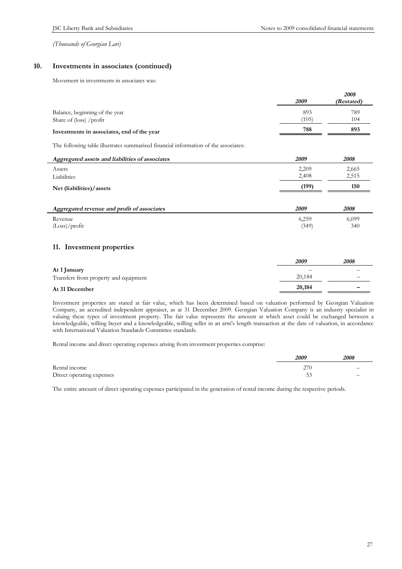*2008*

*(Thousands of Georgian Lari)* 

# **10. Investments in associates (continued)**

Movement in investments in associates was:

|                                                                                     | 2009           | (Restated)     |
|-------------------------------------------------------------------------------------|----------------|----------------|
| Balance, beginning of the year<br>Share of (loss) / profit                          | 893<br>(105)   | 789<br>104     |
| Investments in associates, end of the year                                          | 788            | 893            |
| The following table illustrates summarised financial information of the associates: |                |                |
| Aggregated assets and liabilities of associates                                     | 2009           | 2008           |
| Assets<br>Liabilities                                                               | 2,209<br>2,408 | 2,665<br>2,515 |
| Net (liabilities)/assets                                                            | (199)          | 150            |
|                                                                                     |                |                |
| Aggregated revenue and profit of associates                                         | 2009           | 2008           |
| Revenue<br>(Loss)/profit                                                            | 6,259<br>(349) | 6,099<br>340   |
| 11. Investment properties                                                           |                |                |
|                                                                                     | 2009           | 2008           |
| At 1 January                                                                        | 20,184         |                |
| Transfers from property and equipment<br>At 31 December                             | 20,184         |                |
|                                                                                     |                |                |

Investment properties are stated at fair value, which has been determined based on valuation performed by Georgian Valuation Company, an accredited independent appraiser, as at 31 December 2009. Georgian Valuation Company is an industry specialist in valuing these types of investment property. The fair value represents the amount at which asset could be exchanged between a knowledgeable, willing buyer and a knowledgeable, willing seller in an arm's length transaction at the date of valuation, in accordance with International Valuation Standards Committee standards.

Rental income and direct operating expenses arising from investment properties comprise:

|                           | 2009      | 2008 |
|---------------------------|-----------|------|
| Rental income             | 270       |      |
| Direct operating expenses | 53<br>ں ک |      |

The entire amount of direct operating expenses participated in the generation of rental income during the respective periods.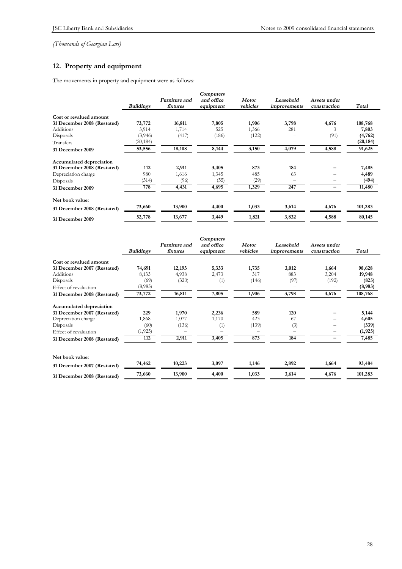# **12. Property and equipment**

The movements in property and equipment were as follows:

|                                 | <b>Buildings</b> | <b>Furniture</b> and<br>fixtures | Computers<br>and office<br>equipment | <b>Motor</b><br>vehicles | Leasehold<br><i>improvements</i> | Assets under<br>construction | Total     |
|---------------------------------|------------------|----------------------------------|--------------------------------------|--------------------------|----------------------------------|------------------------------|-----------|
| Cost or revalued amount         |                  |                                  |                                      |                          |                                  |                              |           |
| 31 December 2008 (Restated)     | 73,772           | 16,811                           | 7,805                                | 1,906                    | 3,798                            | 4,676                        | 108,768   |
| Additions                       | 3,914            | 1,714                            | 525                                  | 1,366                    | 281                              | 3                            | 7,803     |
| Disposals                       | (3,946)          | (417)                            | (186)                                | (122)                    |                                  | (91)                         | (4,762)   |
| Transfers                       | (20, 184)        |                                  |                                      |                          |                                  |                              | (20, 184) |
| 31 December 2009                | 53,556           | 18,108                           | 8,144                                | 3,150                    | 4,079                            | 4,588                        | 91,625    |
| <b>Accumulated depreciation</b> |                  |                                  |                                      |                          |                                  |                              |           |
| 31 December 2008 (Restated)     | 112              | 2,911                            | 3,405                                | 873                      | 184                              |                              | 7,485     |
| Depreciation charge             | 980              | 1,616                            | 1,345                                | 485                      | 63                               |                              | 4,489     |
| Disposals                       | (314)            | (96)                             | (55)                                 | (29)                     |                                  |                              | (494)     |
| 31 December 2009                | 778              | 4,431                            | 4,695                                | 1,329                    | 247                              |                              | 11,480    |
| Net book value:                 |                  |                                  |                                      |                          |                                  |                              |           |
| 31 December 2008 (Restated)     | 73,660           | 13,900                           | 4,400                                | 1,033                    | 3,614                            | 4,676                        | 101,283   |
| 31 December 2009                | 52,778           | 13,677                           | 3,449                                | 1,821                    | 3,832                            | 4,588                        | 80,145    |

|                             | <b>Buildings</b> | <b>Furniture</b> and<br>fixtures | Computers<br>and office<br>equipment | <b>Motor</b><br>vehicles | Leasehold<br>improvements | Assets under<br>construction | Total    |
|-----------------------------|------------------|----------------------------------|--------------------------------------|--------------------------|---------------------------|------------------------------|----------|
| Cost or revalued amount     |                  |                                  |                                      |                          |                           |                              |          |
| 31 December 2007 (Restated) | 74,691           | 12,193                           | 5,333                                | 1,735                    | 3,012                     | 1,664                        | 98,628   |
| Additions                   | 8,133            | 4,938                            | 2,473                                | 317                      | 883                       | 3,204                        | 19,948   |
| Disposals                   | (69)             | (320)                            | (1)                                  | (146)                    | (97)                      | (192)                        | (825)    |
| Effect of revaluation       | (8,983)          |                                  |                                      |                          |                           |                              | (8,983)  |
| 31 December 2008 (Restated) | 73,772           | 16,811                           | 7,805                                | 1,906                    | 3,798                     | 4,676                        | 108,768  |
| Accumulated depreciation    |                  |                                  |                                      |                          |                           |                              |          |
| 31 December 2007 (Restated) | 229              | 1,970                            | 2,236                                | 589                      | 120                       |                              | 5,144    |
| Depreciation charge         | 1,868            | 1,077                            | 1,170                                | 423                      | 67                        |                              | 4,605    |
| Disposals                   | (60)             | (136)                            | (1)                                  | (139)                    | (3)                       |                              | (339)    |
| Effect of revaluation       | (1, 925)         |                                  |                                      |                          |                           |                              | (1, 925) |
| 31 December 2008 (Restated) | 112              | 2,911                            | 3,405                                | 873                      | 184                       |                              | 7,485    |
| Net book value:             |                  |                                  |                                      |                          |                           |                              |          |
| 31 December 2007 (Restated) | 74,462           | 10,223                           | 3,097                                | 1,146                    | 2,892                     | 1,664                        | 93,484   |
| 31 December 2008 (Restated) | 73,660           | 13,900                           | 4,400                                | 1,033                    | 3,614                     | 4,676                        | 101,283  |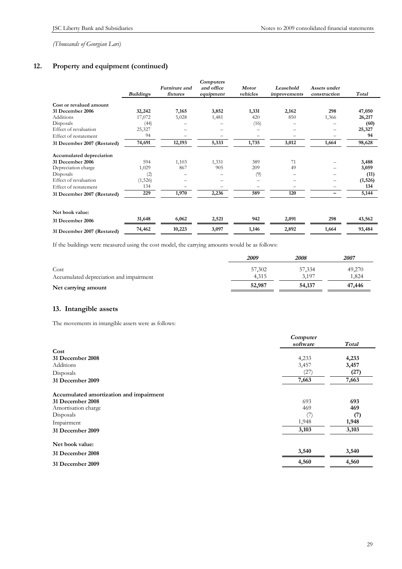# **12. Property and equipment (continued)**

|                             | <b>Buildings</b> | <b>Furniture</b> and<br>fixtures | <b>Computers</b><br>and office<br>equipment | <b>Motor</b><br>vehicles | Leasehold<br><i>improvements</i> | Assets under<br>construction | Total   |
|-----------------------------|------------------|----------------------------------|---------------------------------------------|--------------------------|----------------------------------|------------------------------|---------|
|                             |                  |                                  |                                             |                          |                                  |                              |         |
| Cost or revalued amount     |                  |                                  |                                             |                          |                                  |                              |         |
| 31 December 2006            | 32,242           | 7,165                            | 3,852                                       | 1,331                    | 2,162                            | 298                          | 47,050  |
| Additions                   | 17,072           | 5,028                            | 1,481                                       | 420                      | 850                              | 1,366                        | 26,217  |
| Disposals                   | (44)             |                                  |                                             | (16)                     |                                  |                              | (60)    |
| Effect of revaluation       | 25,327           |                                  |                                             |                          |                                  |                              | 25,327  |
| Effect of restatement       | 94               |                                  |                                             |                          |                                  |                              | 94      |
| 31 December 2007 (Restated) | 74,691           | 12,193                           | 5,333                                       | 1,735                    | 3,012                            | 1,664                        | 98,628  |
| Accumulated depreciation    |                  |                                  |                                             |                          |                                  |                              |         |
| 31 December 2006            | 594              | 1,103                            | 1,331                                       | 389                      | 71                               |                              | 3,488   |
| Depreciation charge         | 1,029            | 867                              | 905                                         | 209                      | 49                               |                              | 3,059   |
| Disposals                   | (2)              |                                  |                                             | (9)                      |                                  |                              | (11)    |
| Effect of revaluation       | (1,526)          |                                  |                                             |                          |                                  |                              | (1,526) |
| Effect of restatement       | 134              |                                  |                                             |                          |                                  |                              | 134     |
| 31 December 2007 (Restated) | 229              | 1,970                            | 2,236                                       | 589                      | 120                              |                              | 5,144   |
| Net book value:             |                  |                                  |                                             |                          |                                  |                              |         |
| 31 December 2006            | 31,648           | 6,062                            | 2,521                                       | 942                      | 2,091                            | 298                          | 43,562  |
| 31 December 2007 (Restated) | 74,462           | 10,223                           | 3,097                                       | 1,146                    | 2,892                            | 1,664                        | 93,484  |

If the buildings were measured using the cost model, the carrying amounts would be as follows:

|                                         | 2009   | 2008   | 2007   |
|-----------------------------------------|--------|--------|--------|
| Cost                                    | 57,302 | 57,334 | 49,270 |
| Accumulated depreciation and impairment | 4.315  | 3.197  | .824   |
| Net carrying amount                     | 52,987 | 54,137 | 47,446 |

# **13. Intangible assets**

The movements in intangible assets were as follows:

|                                         | Computer |       |
|-----------------------------------------|----------|-------|
|                                         | software | Total |
| Cost                                    |          |       |
| 31 December 2008                        | 4,233    | 4,233 |
| Additions                               | 3,457    | 3,457 |
| Disposals                               | (27)     | (27)  |
| 31 December 2009                        | 7,663    | 7,663 |
| Accumulated amortization and impairment |          |       |
| 31 December 2008                        | 693      | 693   |
| Amortisation charge                     | 469      | 469   |
| Disposals                               | (7)      | (7)   |
| Impairment                              | 1,948    | 1,948 |
| 31 December 2009                        | 3,103    | 3,103 |
| Net book value:                         |          |       |
| 31 December 2008                        | 3,540    | 3,540 |
| 31 December 2009                        | 4,560    | 4,560 |
|                                         |          |       |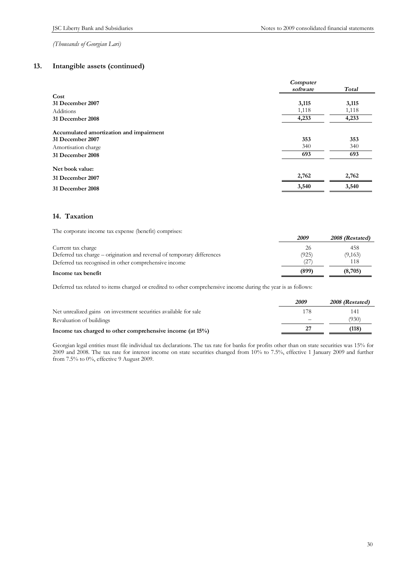# **13. Intangible assets (continued)**

|                                         | Computer |       |
|-----------------------------------------|----------|-------|
|                                         | software | Total |
| Cost                                    |          |       |
| 31 December 2007                        | 3,115    | 3,115 |
| <b>Additions</b>                        | 1,118    | 1,118 |
| 31 December 2008                        | 4,233    | 4,233 |
| Accumulated amortization and impairment |          |       |
| 31 December 2007                        | 353      | 353   |
| Amortisation charge                     | 340      | 340   |
| 31 December 2008                        | 693      | 693   |
| Net book value:                         |          |       |
| 31 December 2007                        | 2,762    | 2,762 |
| 31 December 2008                        | 3,540    | 3,540 |
|                                         |          |       |

# **14. Taxation**

The corporate income tax expense (benefit) comprises:

|                                                                         | 2009  | 2008 (Restated) |
|-------------------------------------------------------------------------|-------|-----------------|
| Current tax charge                                                      | 26    | 458             |
| Deferred tax charge – origination and reversal of temporary differences | (925) | (9,163)         |
| Deferred tax recognised in other comprehensive income                   |       | 118             |
| Income tax benefit                                                      | (899) | (8,705)         |

Deferred tax related to items charged or credited to other comprehensive income during the year is as follows:

|                                                                  | 2009 | 2008 (Restated) |
|------------------------------------------------------------------|------|-----------------|
| Net unrealized gains on investment securities available for sale | 178  | 141             |
| Revaluation of buildings                                         |      | (930)           |
| Income tax charged to other comprehensive income (at $15\%$ )    |      | (118)           |

Georgian legal entities must file individual tax declarations. The tax rate for banks for profits other than on state securities was 15% for 2009 and 2008. The tax rate for interest income on state securities changed from 10% to 7.5%, effective 1 January 2009 and further from 7.5% to 0%, effective 9 August 2009.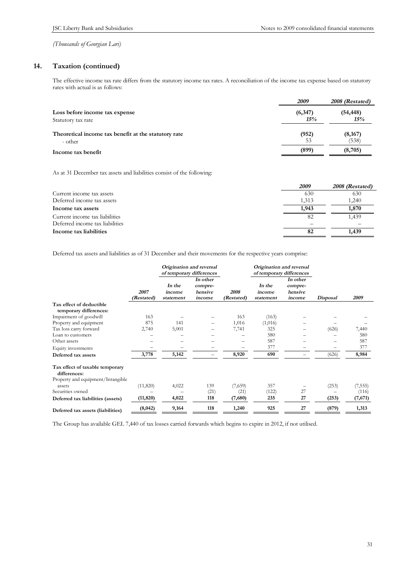# **14. Taxation (continued)**

The effective income tax rate differs from the statutory income tax rates. A reconciliation of the income tax expense based on statutory rates with actual is as follows:

|                                                      | 2009    | 2008 (Restated) |
|------------------------------------------------------|---------|-----------------|
| Loss before income tax expense                       | (6,347) | (54, 448)       |
| Statutory tax rate                                   | 15%     | 15%             |
| Theoretical income tax benefit at the statutory rate | (952)   | (8,167)         |
| - other                                              | 53      | (538)           |
| Income tax benefit                                   | (899)   | (8,705)         |

As at 31 December tax assets and liabilities consist of the following:

|                                 | 2009  | 2008 (Restated) |
|---------------------------------|-------|-----------------|
| Current income tax assets       | 630   | 630             |
| Deferred income tax assets      | 1.313 | 1.240           |
| Income tax assets               | 1,943 | 1,870           |
| Current income tax liabilities  | 82    | 1,439           |
| Deferred income tax liabilities |       |                 |
| Income tax liabilities          | 82    | 1,439           |

Deferred tax assets and liabilities as of 31 December and their movements for the respective years comprise:

|                                                    | Origination and reversal<br>of temporary differences |                               |                                          | Origination and reversal<br>of temporary differences |                               |                                          |                 |          |
|----------------------------------------------------|------------------------------------------------------|-------------------------------|------------------------------------------|------------------------------------------------------|-------------------------------|------------------------------------------|-----------------|----------|
|                                                    | 2007<br>(Restated)                                   | In the<br>income<br>statement | In other<br>compre-<br>hensive<br>income | 2008<br>(Restated)                                   | In the<br>income<br>statement | In other<br>compre-<br>hensive<br>income | <b>Disposal</b> | 2009     |
| Tax effect of deductible<br>temporary differences: |                                                      |                               |                                          |                                                      |                               |                                          |                 |          |
| Impairment of goodwill                             | 163                                                  |                               |                                          | 163                                                  | (163)                         |                                          |                 |          |
| Property and equipment                             | 875                                                  | 141                           |                                          | 1,016                                                | (1,016)                       |                                          |                 |          |
| Tax loss carry forward                             | 2,740                                                | 5,001                         |                                          | 7,741                                                | 325                           |                                          | (626)           | 7,440    |
| Loan to customers                                  |                                                      |                               |                                          |                                                      | 580                           |                                          |                 | 580      |
| Other assets                                       |                                                      |                               |                                          |                                                      | 587                           |                                          |                 | 587      |
| Equity investments                                 |                                                      |                               |                                          |                                                      | 377                           |                                          |                 | 377      |
| Deferred tax assets                                | 3,778                                                | 5,142                         |                                          | 8,920                                                | 690                           |                                          | (626)           | 8,984    |
| Tax effect of taxable temporary<br>differences:    |                                                      |                               |                                          |                                                      |                               |                                          |                 |          |
| Property and equipment/Intangible<br>assets        | (11,820)                                             | 4,022                         | 139                                      | (7,659)                                              | 357                           |                                          | (253)           | (7, 555) |
| Securities owned                                   |                                                      |                               | (21)                                     | (21)                                                 | (122)                         | 27                                       |                 | (116)    |
| Deferred tax liabilities (assets)                  | (11, 820)                                            | 4,022                         | 118                                      | (7,680)                                              | 235                           | 27                                       | (253)           | (7,671)  |
| Deferred tax assets (liabilities)                  | (8,042)                                              | 9,164                         | 118                                      | 1,240                                                | 925                           | 27                                       | (879)           | 1,313    |

The Group has available GEL 7,440 of tax losses carried forwards which begins to expire in 2012, if not utilised.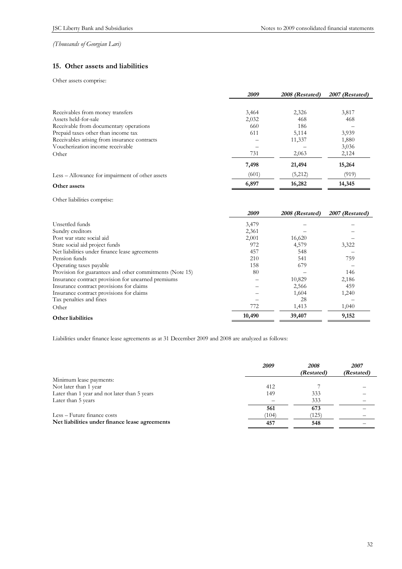# **15. Other assets and liabilities**

Other assets comprise:

|                                                 | 2009  | 2008 (Restated) | 2007 (Restated) |
|-------------------------------------------------|-------|-----------------|-----------------|
|                                                 |       |                 |                 |
| Receivables from money transfers                | 3,464 | 2,326           | 3,817           |
| Assets held-for-sale                            | 2,032 | 468             | 468             |
| Receivable from documentary operations          | 660   | 186             |                 |
| Prepaid taxes other than income tax             | 611   | 5,114           | 3,939           |
| Receivables arising from insurance contracts    |       | 11,337          | 1,880           |
| Voucherization income receivable                |       |                 | 3,036           |
| Other                                           | 731   | 2,063           | 2,124           |
|                                                 | 7,498 | 21,494          | 15,264          |
| Less – Allowance for impairment of other assets | (601) | (5,212)         | (919)           |
| Other assets                                    | 6,897 | 16,282          | 14,345          |

Other liabilities comprise:

|                                                          | 2009   | 2008 (Restated) | 2007 (Restated) |
|----------------------------------------------------------|--------|-----------------|-----------------|
| Unsettled funds                                          | 3,479  |                 |                 |
| Sundry creditors                                         | 2,361  |                 |                 |
| Post war state social aid                                | 2,001  | 16,620          |                 |
| State social aid project funds                           | 972    | 4,579           | 3,322           |
| Net liabilities under finance lease agreements           | 457    | 548             |                 |
| Pension funds                                            | 210    | 541             | 759             |
| Operating taxes payable                                  | 158    | 679             |                 |
| Provision for guarantees and other commitments (Note 15) | 80     |                 | 146             |
| Insurance contract provision for unearned premiums       |        | 10,829          | 2,186           |
| Insurance contract provisions for claims                 |        | 2,566           | 459             |
| Insurance contract provisions for claims                 |        | 1,604           | 1,240           |
| Tax penalties and fines                                  |        | 28              |                 |
| Other                                                    | 772    | 1,413           | 1,040           |
| <b>Other liabilities</b>                                 | 10,490 | 39,407          | 9,152           |

Liabilities under finance lease agreements as at 31 December 2009 and 2008 are analyzed as follows:

|                                                | 2009  | 2008<br>(Restated) | 2007<br>(Restated) |
|------------------------------------------------|-------|--------------------|--------------------|
| Minimum lease payments:                        |       |                    |                    |
| Not later than 1 year                          | 412   |                    |                    |
| Later than 1 year and not later than 5 years   | 149   | 333                |                    |
| Later than 5 years                             |       | 333                |                    |
|                                                | 561   | 673                |                    |
| Less – Future finance costs                    | (104) | (125)              |                    |
| Net liabilities under finance lease agreements | 457   | 548                |                    |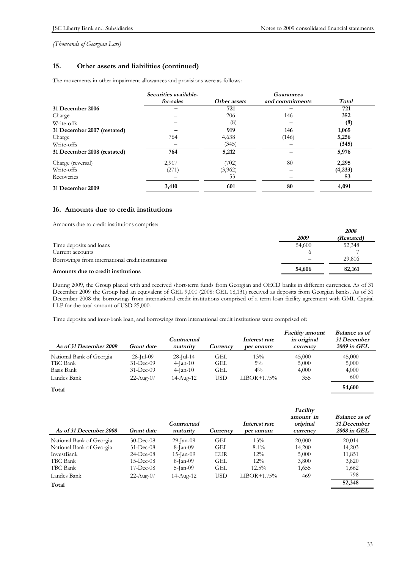# **15. Other assets and liabilities (continued)**

The movements in other impairment allowances and provisions were as follows:

|                             | Securities available- |              | <b>Guarantees</b> |         |
|-----------------------------|-----------------------|--------------|-------------------|---------|
|                             | for-sales             | Other assets | and commitments   | Total   |
| 31 December 2006            |                       | 721          |                   | 721     |
| Charge                      |                       | 206          | 146               | 352     |
| Write-offs                  |                       | (8)          |                   | (8)     |
| 31 December 2007 (restated) |                       | 919          | 146               | 1,065   |
| Charge                      | 764                   | 4,638        | (146)             | 5,256   |
| Write-offs                  |                       | (345)        |                   | (345)   |
| 31 December 2008 (restated) | 764                   | 5,212        |                   | 5,976   |
| Charge (reversal)           | 2,917                 | (702)        | 80                | 2,295   |
| Write-offs                  | (271)                 | (3,962)      |                   | (4,233) |
| Recoveries                  |                       | 53           |                   | 53      |
| 31 December 2009            | 3,410                 | 601          | 80                | 4,091   |

# **16. Amounts due to credit institutions**

Amounts due to credit institutions comprise:

|                                                   |        | <i><b>2008</b></i> |
|---------------------------------------------------|--------|--------------------|
|                                                   | 2009   | (Restated)         |
| Time deposits and loans                           | 54,600 | 52,348             |
| Current accounts                                  |        |                    |
| Borrowings from international credit institutions |        | 29,806             |
| Amounts due to credit institutions                | 54,606 | 82,161             |

During 2009, the Group placed with and received short-term funds from Georgian and OECD banks in different currencies. As of 31 December 2009 the Group had an equivalent of GEL 9,000 (2008: GEL 18,131) received as deposits from Georgian banks. As of 31 December 2008 the borrowings from international credit institutions comprised of a term loan facility agreement with GML Capital LLP for the total amount of USD 25,000.

Time deposits and inter-bank loan, and borrowings from international credit institutions were comprised of:

| As of 31 December 2009                             | <b>Grant</b> date                            | Contractual<br>maturity                    | Currency          | Interest rate<br>per annum | <b>Facility</b> amount<br>in original<br>currency | <b>Balance as of</b><br>31 December<br>2009 in GEL |
|----------------------------------------------------|----------------------------------------------|--------------------------------------------|-------------------|----------------------------|---------------------------------------------------|----------------------------------------------------|
| National Bank of Georgia<br>TBC Bank<br>Basis Bank | $28$ -Jul-09<br>$31$ -Dec-09<br>$31$ -Dec-09 | $28$ -Jul-14<br>$4$ -Jan-10<br>$4$ -Jan-10 | GEL<br>GEL<br>GEL | 13%<br>$5\%$<br>$4\%$      | 45,000<br>5,000<br>4,000                          | 45,000<br>5,000<br>4,000                           |
| Landes Bank                                        | $22$ -Aug-07                                 | 14-Aug-12                                  | USD               | $LIBOR+1.75%$              | 355                                               | 600                                                |
| Total                                              |                                              |                                            |                   |                            |                                                   | 54,600                                             |

| As of 31 December 2008   | Grant date   | Contractual<br>maturity | Currency   | Interest rate<br>per annum | Facility<br>amount in<br>original<br>currency | <b>Balance as of</b><br>31 December<br>2008 in GEL |
|--------------------------|--------------|-------------------------|------------|----------------------------|-----------------------------------------------|----------------------------------------------------|
| National Bank of Georgia | $30$ -Dec-08 | $29$ -Jan-09            | GEL        | 13%                        | 20,000                                        | 20,014                                             |
| National Bank of Georgia | $31$ -Dec-08 | $8$ -Jan-09             | GEL        | $8.1\%$                    | 14,200                                        | 14,203                                             |
| InvestBank               | $24$ -Dce-08 | $15$ -Jan-09            | EUR        | $12\%$                     | 5,000                                         | 11,851                                             |
| TBC Bank                 | $15$ -Dec-08 | $8$ -Jan-09             | GEL        | $12\%$                     | 3,800                                         | 3,820                                              |
| TBC Bank                 | $17$ -Dec-08 | $5$ -Jan-09             | <b>GEL</b> | $12.5\%$                   | 1,655                                         | 1,662                                              |
| Landes Bank              | $22$ -Aug-07 | 14-Aug-12               | <b>USD</b> | $LIBOR+1.75%$              | 469                                           | 798                                                |
| Total                    |              |                         |            |                            |                                               | 52,348                                             |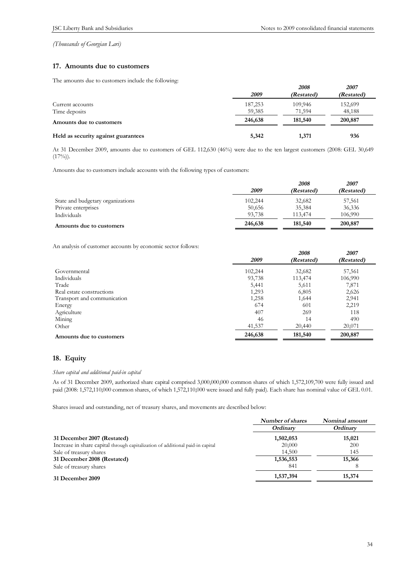# **17. Amounts due to customers**

The amounts due to customers include the following:

| The amounts due to eastomers merude the following. | 2009    | 2008<br>(Restated) | 2007<br>(Restated) |
|----------------------------------------------------|---------|--------------------|--------------------|
| Current accounts                                   | 187,253 | 109,946            | 152,699            |
| Time deposits                                      | 59,385  | 71,594             | 48,188             |
| Amounts due to customers                           | 246,638 | 181,540            | 200,887            |
| Held as security against guarantees                | 5,342   | 1,371              | 936                |

At 31 December 2009, amounts due to customers of GEL 112,630 (46%) were due to the ten largest customers (2008: GEL 30,649  $(17\%)$ .

Amounts due to customers include accounts with the following types of customers:

|                                   |         | 2008       | 2007       |
|-----------------------------------|---------|------------|------------|
|                                   | 2009    | (Restated) | (Restated) |
| State and budgetary organizations | 102.244 | 32,682     | 57,561     |
| Private enterprises               | 50.656  | 35,384     | 36,336     |
| Individuals                       | 93.738  | 113,474    | 106,990    |
| Amounts due to customers          | 246,638 | 181,540    | 200,887    |

An analysis of customer accounts by economic sector follows:

|                             | 2009    | 2008<br>(Restated) | 2007<br>(Restated) |
|-----------------------------|---------|--------------------|--------------------|
|                             |         |                    |                    |
| Governmental                | 102,244 | 32,682             | 57,561             |
| Individuals                 | 93,738  | 113,474            | 106,990            |
| Trade                       | 5,441   | 5,611              | 7,871              |
| Real estate constructions   | 1,293   | 6,805              | 2,626              |
| Transport and communication | 1,258   | 1,644              | 2,941              |
| Energy                      | 674     | 601                | 2,219              |
| Agriculture                 | 407     | 269                | 118                |
| Mining                      | 46      | 14                 | 490                |
| Other                       | 41,537  | 20,440             | 20,071             |
| Amounts due to customers    | 246,638 | 181,540            | 200,887            |

# **18. Equity**

# *Share capital and additional paid-in capital*

As of 31 December 2009, authorized share capital comprised 3,000,000,000 common shares of which 1,572,109,700 were fully issued and paid (2008: 1,572,110,000 common shares, of which 1,572,110,000 were issued and fully paid). Each share has nominal value of GEL 0.01.

Shares issued and outstanding, net of treasury shares, and movements are described below:

|                                                                                | Number of shares | Nominal amount         |
|--------------------------------------------------------------------------------|------------------|------------------------|
|                                                                                | Ordinary         | <i><b>Ordinary</b></i> |
| 31 December 2007 (Restated)                                                    | 1,502,053        | 15,021                 |
| Increase in share capital through capitalization of additional paid-in capital | 20,000           | 200                    |
| Sale of treasury shares                                                        | 14,500           | 145                    |
| 31 December 2008 (Restated)                                                    | 1,536,553        | 15,366                 |
| Sale of treasury shares                                                        | 841              |                        |
| 31 December 2009                                                               | 1,537,394        | 15,374                 |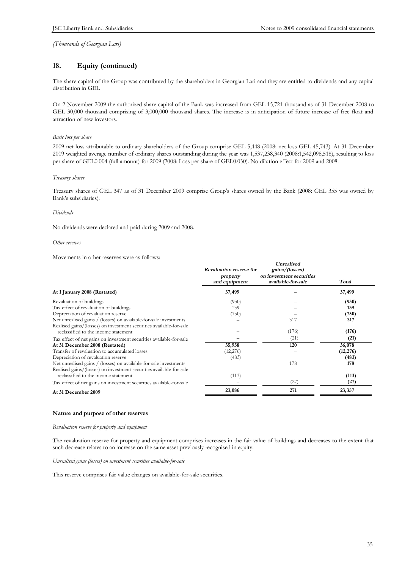# **18. Equity (continued)**

The share capital of the Group was contributed by the shareholders in Georgian Lari and they are entitled to dividends and any capital distribution in GEL

On 2 November 2009 the authorized share capital of the Bank was increased from GEL 15,721 thousand as of 31 December 2008 to GEL 30,000 thousand comprising of 3,000,000 thousand shares. The increase is in anticipation of future increase of free float and attraction of new investors.

# *Basic loss per share*

2009 net loss attributable to ordinary shareholders of the Group comprise GEL 5,448 (2008: net loss GEL 45,743). At 31 December 2009 weighted average number of ordinary shares outstanding during the year was 1,537,238,340 (2008:1,542,098,518), resulting to loss per share of GEL0.004 (full amount) for 2009 (2008: Loss per share of GEL0.030). No dilution effect for 2009 and 2008.

### *Treasury shares*

Treasury shares of GEL 347 as of 31 December 2009 comprise Group's shares owned by the Bank (2008: GEL 355 was owned by Bank's subsidiaries).

### *Dividends*

No dividends were declared and paid during 2009 and 2008.

### *Other reserves*

Movements in other reserves were as follows:

|                                                                                                             | <b>Revaluation reserve for</b><br>property<br>and equipment | <b>Unrealised</b><br>gains/(losses)<br>on investment securities<br>available-for-sale | Total     |
|-------------------------------------------------------------------------------------------------------------|-------------------------------------------------------------|---------------------------------------------------------------------------------------|-----------|
| At 1 January 2008 (Restated)                                                                                | 37,499                                                      |                                                                                       | 37,499    |
| Revaluation of buildings                                                                                    | (930)                                                       |                                                                                       | (930)     |
| Tax effect of revaluation of buildings                                                                      | 139                                                         |                                                                                       | 139       |
| Depreciation of revaluation reserve                                                                         | (750)                                                       |                                                                                       | (750)     |
| Net unrealised gains / (losses) on available-for-sale investments                                           |                                                             | 317                                                                                   | 317       |
| Realised gains/(losses) on investment securities available-for-sale<br>reclassified to the income statement |                                                             | (176)                                                                                 | (176)     |
| Tax effect of net gains on investment securities available-for-sale                                         |                                                             | (21)                                                                                  | (21)      |
| At 31 December 2008 (Restated)                                                                              | 35,958                                                      | 120                                                                                   | 36,078    |
| Transfer of revaluation to accumulated losses                                                               | (12, 276)                                                   |                                                                                       | (12, 276) |
| Depreciation of revaluation reserve                                                                         | (483)                                                       |                                                                                       | (483)     |
| Net unrealised gains / (losses) on available-for-sale investments                                           |                                                             | 178                                                                                   | 178       |
| Realised gains/(losses) on investment securities available-for-sale<br>reclassified to the income statement | (113)                                                       |                                                                                       | (113)     |
| Tax effect of net gains on investment securities available-for-sale                                         |                                                             | (27                                                                                   | (27)      |
| At 31 December 2009                                                                                         | 23,086                                                      | 271                                                                                   | 23,357    |

### **Nature and purpose of other reserves**

### *Revaluation reserve for property and equipment*

The revaluation reserve for property and equipment comprises increases in the fair value of buildings and decreases to the extent that such decrease relates to an increase on the same asset previously recognised in equity.

*Unrealised gains (losses) on investment securities available-for-sale* 

This reserve comprises fair value changes on available-for-sale securities.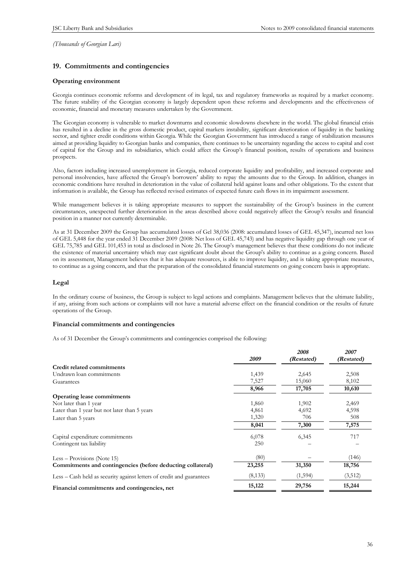# **19. Commitments and contingencies**

# **Operating environment**

Georgia continues economic reforms and development of its legal, tax and regulatory frameworks as required by a market economy. The future stability of the Georgian economy is largely dependent upon these reforms and developments and the effectiveness of economic, financial and monetary measures undertaken by the Government.

The Georgian economy is vulnerable to market downturns and economic slowdowns elsewhere in the world. The global financial crisis has resulted in a decline in the gross domestic product, capital markets instability, significant deterioration of liquidity in the banking sector, and tighter credit conditions within Georgia. While the Georgian Government has introduced a range of stabilization measures aimed at providing liquidity to Georgian banks and companies, there continues to be uncertainty regarding the access to capital and cost of capital for the Group and its subsidiaries, which could affect the Group's financial position, results of operations and business prospects.

Also, factors including increased unemployment in Georgia, reduced corporate liquidity and profitability, and increased corporate and personal insolvencies, have affected the Group's borrowers' ability to repay the amounts due to the Group. In addition, changes in economic conditions have resulted in deterioration in the value of collateral held against loans and other obligations. To the extent that information is available, the Group has reflected revised estimates of expected future cash flows in its impairment assessment.

While management believes it is taking appropriate measures to support the sustainability of the Group's business in the current circumstances, unexpected further deterioration in the areas described above could negatively affect the Group's results and financial position in a manner not currently determinable.

As at 31 December 2009 the Group has accumulated losses of Gel 38,036 (2008: accumulated losses of GEL 45,347), incurred net loss of GEL 5,448 for the year ended 31 December 2009 (2008: Net loss of GEL 45,743) and has negative liquidity gap through one year of GEL 75,785 and GEL 101,453 in total as disclosed in Note 26. The Group's management believes that these conditions do not indicate the existence of material uncertainty which may cast significant doubt about the Group's ability to continue as a going concern. Based on its assessment, Management believes that it has adequate resources, is able to improve liquidity, and is taking appropriate measures, to continue as a going concern, and that the preparation of the consolidated financial statements on going concern basis is appropriate.

# **Legal**

In the ordinary course of business, the Group is subject to legal actions and complaints. Management believes that the ultimate liability, if any, arising from such actions or complaints will not have a material adverse effect on the financial condition or the results of future operations of the Group.

# **Financial commitments and contingencies**

As of 31 December the Group's commitments and contingencies comprised the following:

|                                                                       | 2009     | <i>2008</i><br>(Restated) | <i>2007</i><br>(Restated) |
|-----------------------------------------------------------------------|----------|---------------------------|---------------------------|
| Credit related commitments                                            |          |                           |                           |
| Undrawn loan commitments                                              | 1,439    | 2,645                     | 2,508                     |
| Guarantees                                                            | 7,527    | 15,060                    | 8,102                     |
|                                                                       | 8,966    | 17,705                    | 10,610                    |
| <b>Operating lease commitments</b>                                    |          |                           |                           |
| Not later than 1 year                                                 | 1,860    | 1,902                     | 2,469                     |
| Later than 1 year but not later than 5 years                          | 4,861    | 4,692                     | 4,598                     |
| Later than 5 years                                                    | 1,320    | 706                       | 508                       |
|                                                                       | 8,041    | 7,300                     | 7,575                     |
| Capital expenditure commitments                                       | 6,078    | 6,345                     | 717                       |
| Contingent tax liability                                              | 250      |                           |                           |
| $Less - Provisions (Note 15)$                                         | (80)     |                           | (146)                     |
| Commitments and contingencies (before deducting collateral)           | 23,255   | 31,350                    | 18,756                    |
| Less - Cash held as security against letters of credit and guarantees | (8, 133) | (1,594)                   | (3,512)                   |
| Financial commitments and contingencies, net                          | 15,122   | 29,756                    | 15,244                    |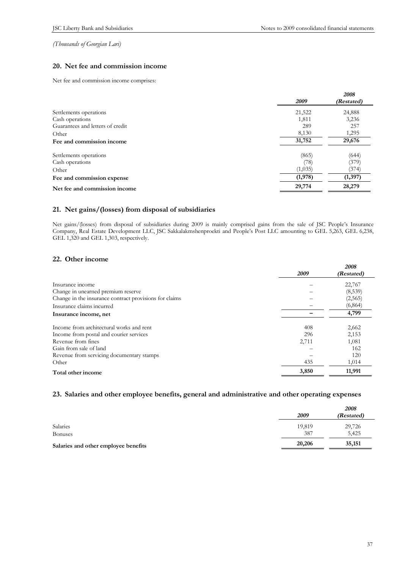# **20. Net fee and commission income**

Net fee and commission income comprises:

|                                  | 2009    | 2008<br>(Restated) |
|----------------------------------|---------|--------------------|
| Settlements operations           | 21,522  | 24,888             |
| Cash operations                  | 1,811   | 3,236              |
| Guarantees and letters of credit | 289     | 257                |
| Other                            | 8,130   | 1,295              |
| Fee and commission income        | 31,752  | 29,676             |
| Settlements operations           | (865)   | (644)              |
| Cash operations                  | (78)    | (379)              |
| Other                            | (1,035) | (374)              |
| Fee and commission expense       | (1,978) | (1, 397)           |
| Net fee and commission income    | 29,774  | 28,279             |

# **21. Net gains/(losses) from disposal of subsidiaries**

Net gains/(losses) from disposal of subsidiaries during 2009 is mainly comprised gains from the sale of JSC People's Insurance Company, Real Estate Development LLC, JSC Sakkalakmshenproekti and People's Post LLC amounting to GEL 5,263, GEL 6,238, GEL 1,320 and GEL 1,303, respectively.

# **22. Other income**

|                                                        |       | 2008       |
|--------------------------------------------------------|-------|------------|
|                                                        | 2009  | (Restated) |
| Insurance income                                       |       | 22,767     |
| Change in unearned premium reserve                     |       | (8,539)    |
| Change in the insurance contract provisions for claims |       | (2,565)    |
| Insurance claims incurred                              |       | (6, 864)   |
| Insurance income, net                                  |       | 4,799      |
| Income from architectural works and rent               | 408   | 2,662      |
| Income from postal and courier services                | 296   | 2,153      |
| Revenue from fines                                     | 2,711 | 1,081      |
| Gain from sale of land                                 |       | 162        |
| Revenue from servicing documentary stamps              |       | 120        |
| Other                                                  | 435   | 1,014      |
| Total other income                                     | 3,850 | 11,991     |

# **23. Salaries and other employee benefits, general and administrative and other operating expenses**

|                                      | 2009   | 2008<br>(Restated) |
|--------------------------------------|--------|--------------------|
| Salaries                             | 19,819 | 29,726             |
| <b>Bonuses</b>                       | 387    | 5,425              |
| Salaries and other employee benefits | 20,206 | 35,151             |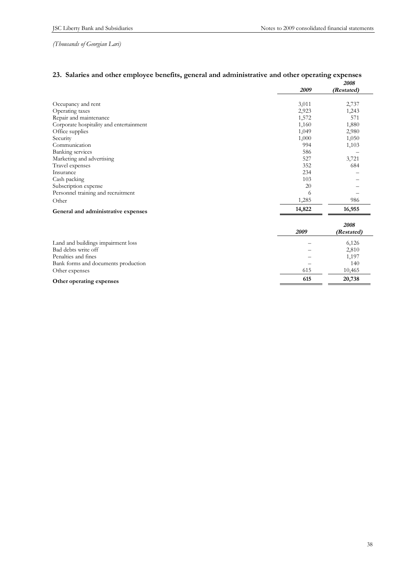|                                         |        | 2008       |
|-----------------------------------------|--------|------------|
|                                         | 2009   | (Restated) |
|                                         |        |            |
| Occupancy and rent                      | 3,011  | 2,737      |
| Operating taxes                         | 2,923  | 1,243      |
| Repair and maintenance                  | 1,572  | 571        |
| Corporate hospitality and entertainment | 1,160  | 1,880      |
| Office supplies                         | 1,049  | 2,980      |
| Security                                | 1,000  | 1,050      |
| Communication                           | 994    | 1,103      |
| <b>Banking</b> services                 | 586    |            |
| Marketing and advertising               | 527    | 3,721      |
| Travel expenses                         | 352    | 684        |
| Insurance                               | 234    |            |
| Cash packing                            | 103    |            |
| Subscription expense                    | 20     |            |
| Personnel training and recruitment      | 6      |            |
| Other                                   | 1,285  | 986        |
| General and administrative expenses     | 14,822 | 16,955     |
|                                         |        | 2008       |
|                                         | 2009   | (Restated) |
| Land and buildings impairment loss      |        | 6,126      |
| Bad debts write off                     |        | 2,810      |
| Penalties and fines                     |        | 1,197      |
| Bank forms and documents production     |        | 140        |
| Other expenses                          | 615    | 10,465     |
| Other operating expenses                | 615    | 20,738     |

# **23. Salaries and other employee benefits, general and administrative and other operating expenses**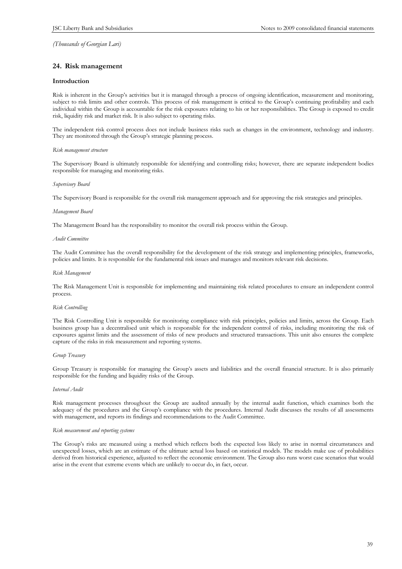# **24. Risk management**

### **Introduction**

Risk is inherent in the Group's activities but it is managed through a process of ongoing identification, measurement and monitoring, subject to risk limits and other controls. This process of risk management is critical to the Group's continuing profitability and each individual within the Group is accountable for the risk exposures relating to his or her responsibilities. The Group is exposed to credit risk, liquidity risk and market risk. It is also subject to operating risks.

The independent risk control process does not include business risks such as changes in the environment, technology and industry. They are monitored through the Group's strategic planning process.

### *Risk management structure*

The Supervisory Board is ultimately responsible for identifying and controlling risks; however, there are separate independent bodies responsible for managing and monitoring risks.

### *Supervisory Board*

The Supervisory Board is responsible for the overall risk management approach and for approving the risk strategies and principles.

### *Management Board*

The Management Board has the responsibility to monitor the overall risk process within the Group.

### *Audit Committee*

The Audit Committee has the overall responsibility for the development of the risk strategy and implementing principles, frameworks, policies and limits. It is responsible for the fundamental risk issues and manages and monitors relevant risk decisions.

### *Risk Management*

The Risk Management Unit is responsible for implementing and maintaining risk related procedures to ensure an independent control process.

### *Risk Controlling*

The Risk Controlling Unit is responsible for monitoring compliance with risk principles, policies and limits, across the Group. Each business group has a decentralised unit which is responsible for the independent control of risks, including monitoring the risk of exposures against limits and the assessment of risks of new products and structured transactions. This unit also ensures the complete capture of the risks in risk measurement and reporting systems.

#### *Group Treasury*

Group Treasury is responsible for managing the Group's assets and liabilities and the overall financial structure. It is also primarily responsible for the funding and liquidity risks of the Group.

#### *Internal Audit*

Risk management processes throughout the Group are audited annually by the internal audit function, which examines both the adequacy of the procedures and the Group's compliance with the procedures. Internal Audit discusses the results of all assessments with management, and reports its findings and recommendations to the Audit Committee.

#### *Risk measurement and reporting systems*

The Group's risks are measured using a method which reflects both the expected loss likely to arise in normal circumstances and unexpected losses, which are an estimate of the ultimate actual loss based on statistical models. The models make use of probabilities derived from historical experience, adjusted to reflect the economic environment. The Group also runs worst case scenarios that would arise in the event that extreme events which are unlikely to occur do, in fact, occur.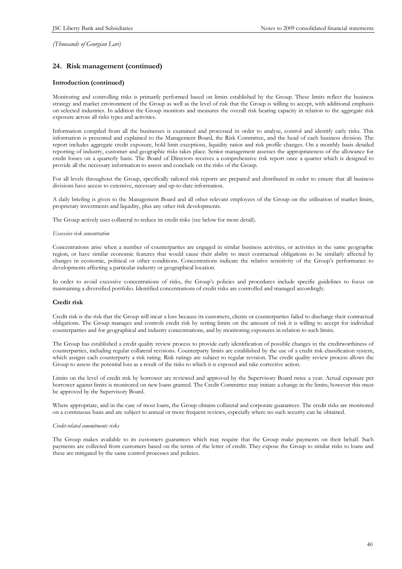# **24. Risk management (continued)**

### **Introduction (continued)**

Monitoring and controlling risks is primarily performed based on limits established by the Group. These limits reflect the business strategy and market environment of the Group as well as the level of risk that the Group is willing to accept, with additional emphasis on selected industries. In addition the Group monitors and measures the overall risk bearing capacity in relation to the aggregate risk exposure across all risks types and activities.

Information compiled from all the businesses is examined and processed in order to analyse, control and identify early risks. This information is presented and explained to the Management Board, the Risk Committee, and the head of each business division. The report includes aggregate credit exposure, hold limit exceptions, liquidity ratios and risk profile changes. On a monthly basis detailed reporting of industry, customer and geographic risks takes place. Senior management assesses the appropriateness of the allowance for credit losses on a quarterly basis. The Board of Directors receives a comprehensive risk report once a quarter which is designed to provide all the necessary information to assess and conclude on the risks of the Group.

For all levels throughout the Group, specifically tailored risk reports are prepared and distributed in order to ensure that all business divisions have access to extensive, necessary and up-to-date information.

A daily briefing is given to the Management Board and all other relevant employees of the Group on the utilisation of market limits, proprietary investments and liquidity, plus any other risk developments.

The Group actively uses collateral to reduce its credit risks (see below for more detail).

### *Excessive risk concentration*

Concentrations arise when a number of counterparties are engaged in similar business activities, or activities in the same geographic region, or have similar economic features that would cause their ability to meet contractual obligations to be similarly affected by changes in economic, political or other conditions. Concentrations indicate the relative sensitivity of the Group's performance to developments affecting a particular industry or geographical location.

In order to avoid excessive concentrations of risks, the Group's policies and procedures include specific guidelines to focus on maintaining a diversified portfolio. Identified concentrations of credit risks are controlled and managed accordingly.

### **Credit risk**

Credit risk is the risk that the Group will incur a loss because its customers, clients or counterparties failed to discharge their contractual obligations. The Group manages and controls credit risk by setting limits on the amount of risk it is willing to accept for individual counterparties and for geographical and industry concentrations, and by monitoring exposures in relation to such limits.

The Group has established a credit quality review process to provide early identification of possible changes in the creditworthiness of counterparties, including regular collateral revisions. Counterparty limits are established by the use of a credit risk classification system, which assigns each counterparty a risk rating. Risk ratings are subject to regular revision. The credit quality review process allows the Group to assess the potential loss as a result of the risks to which it is exposed and take corrective action.

Limits on the level of credit risk by borrower are reviewed and approved by the Supervisory Board twice a year. Actual exposure per borrower against limits is monitored on new loans granted. The Credit Committee may initiate a change in the limits; however this must be approved by the Supervisory Board.

Where appropriate, and in the case of most loans, the Group obtains collateral and corporate guarantees. The credit risks are monitored on a continuous basis and are subject to annual or more frequent reviews, especially where no such security can be obtained.

#### *Credit-related commitments risks*

The Group makes available to its customers guarantees which may require that the Group make payments on their behalf. Such payments are collected from customers based on the terms of the letter of credit. They expose the Group to similar risks to loans and these are mitigated by the same control processes and policies.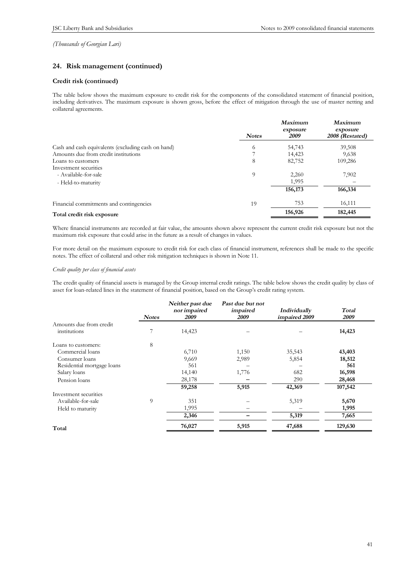# **24. Risk management (continued)**

### **Credit risk (continued)**

The table below shows the maximum exposure to credit risk for the components of the consolidated statement of financial position, including derivatives. The maximum exposure is shown gross, before the effect of mitigation through the use of master netting and collateral agreements.

|                                                    | <b>Notes</b> | Maximum<br>exposure<br>2009 | Maximum<br>exposure<br>2008 (Restated) |
|----------------------------------------------------|--------------|-----------------------------|----------------------------------------|
| Cash and cash equivalents (excluding cash on hand) | 6            | 54,743                      | 39,508                                 |
| Amounts due from credit institutions               |              | 14,423                      | 9,638                                  |
| Loans to customers                                 | 8            | 82,752                      | 109,286                                |
| Investment securities                              |              |                             |                                        |
| - Available-for-sale                               | 9            | 2,260                       | 7,902                                  |
| - Held-to-maturity                                 |              | 1,995                       |                                        |
|                                                    |              | 156,173                     | 166,334                                |
| Financial commitments and contingencies            | 19           | 753                         | 16,111                                 |
| Total credit risk exposure                         |              | 156,926                     | 182,445                                |

Where financial instruments are recorded at fair value, the amounts shown above represent the current credit risk exposure but not the maximum risk exposure that could arise in the future as a result of changes in values.

For more detail on the maximum exposure to credit risk for each class of financial instrument, references shall be made to the specific notes. The effect of collateral and other risk mitigation techniques is shown in Note 11.

# *Credit quality per class of financial assets*

The credit quality of financial assets is managed by the Group internal credit ratings. The table below shows the credit quality by class of asset for loan-related lines in the statement of financial position, based on the Group's credit rating system.

|                            | <b>Notes</b> | Neither past due<br>nor impaired<br>2009 | Past due but not<br>impaired<br>2009 | Individually<br>impaired 2009 | Total<br>2009 |
|----------------------------|--------------|------------------------------------------|--------------------------------------|-------------------------------|---------------|
| Amounts due from credit    |              |                                          |                                      |                               |               |
| institutions               |              | 14,423                                   |                                      |                               | 14,423        |
| Loans to customers:        | 8            |                                          |                                      |                               |               |
| Commercial loans           |              | 6,710                                    | 1,150                                | 35,543                        | 43,403        |
| Consumer loans             |              | 9,669                                    | 2,989                                | 5,854                         | 18,512        |
| Residential mortgage loans |              | 561                                      |                                      |                               | 561           |
| Salary loans               |              | 14,140                                   | 1,776                                | 682                           | 16,598        |
| Pension loans              |              | 28,178                                   |                                      | 290                           | 28,468        |
|                            |              | 59,258                                   | 5,915                                | 42,369                        | 107,542       |
| Investment securities      |              |                                          |                                      |                               |               |
| Available-for-sale         | 9            | 351                                      |                                      | 5,319                         | 5,670         |
| Held to maturity           |              | 1,995                                    |                                      |                               | 1,995         |
|                            |              | 2,346                                    |                                      | 5,319                         | 7,665         |
| Total                      |              | 76,027                                   | 5,915                                | 47,688                        | 129,630       |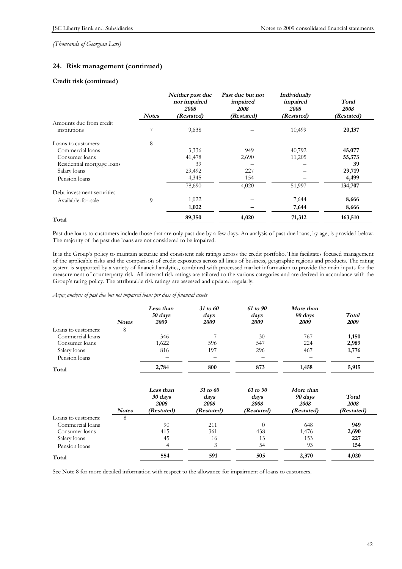# **24. Risk management (continued)**

# **Credit risk (continued)**

|                            | <b>Notes</b> | Neither past due<br>nor impaired<br><i>2008</i><br>(Restated) | Past due but not<br>impaired<br>2008<br>(Restated) | Individually<br>impaired<br>2008<br>(Restated) | Total<br>2008<br>(Restated) |
|----------------------------|--------------|---------------------------------------------------------------|----------------------------------------------------|------------------------------------------------|-----------------------------|
| Amounts due from credit    |              |                                                               |                                                    |                                                |                             |
| institutions               |              | 9,638                                                         |                                                    | 10,499                                         | 20,137                      |
| Loans to customers:        | 8            |                                                               |                                                    |                                                |                             |
| Commercial loans           |              | 3,336                                                         | 949                                                | 40,792                                         | 45,077                      |
| Consumer loans             |              | 41,478                                                        | 2,690                                              | 11,205                                         | 55,373                      |
| Residential mortgage loans |              | 39                                                            |                                                    |                                                | 39                          |
| Salary loans               |              | 29,492                                                        | 227                                                |                                                | 29,719                      |
| Pension loans              |              | 4,345                                                         | 154                                                |                                                | 4,499                       |
|                            |              | 78,690                                                        | 4,020                                              | 51,997                                         | 134,707                     |
| Debt investment securities |              |                                                               |                                                    |                                                |                             |
| Available-for-sale         | 9            | 1,022                                                         |                                                    | 7,644                                          | 8,666                       |
|                            |              | 1,022                                                         |                                                    | 7,644                                          | 8,666                       |
| Total                      |              | 89,350                                                        | 4,020                                              | 71,312                                         | 163,510                     |

Past due loans to customers include those that are only past due by a few days. An analysis of past due loans, by age, is provided below. The majority of the past due loans are not considered to be impaired.

It is the Group's policy to maintain accurate and consistent risk ratings across the credit portfolio. This facilitates focused management of the applicable risks and the comparison of credit exposures across all lines of business, geographic regions and products. The rating system is supported by a variety of financial analytics, combined with processed market information to provide the main inputs for the measurement of counterparty risk. All internal risk ratings are tailored to the various categories and are derived in accordance with the Group's rating policy. The attributable risk ratings are assessed and updated regularly.

# *Aging analysis of past due but not impaired loans per class of financial assets*

|                     | <b>Notes</b> | Less than<br>30 days<br>2009 | 31 to 60<br>days<br>2009 | 61 to 90<br>days<br>2009 | More than<br>90 days<br>2009 | Total<br>2009 |
|---------------------|--------------|------------------------------|--------------------------|--------------------------|------------------------------|---------------|
| Loans to customers: | 8            |                              |                          |                          |                              |               |
| Commercial loans    |              | 346                          |                          | 30                       | 767                          | 1,150         |
| Consumer loans      |              | 1,622                        | 596                      | 547                      | 224                          | 2,989         |
| Salary loans        |              | 816                          | 197                      | 296                      | 467                          | 1,776         |
| Pension loans       |              | $\overline{\phantom{m}}$     |                          |                          |                              |               |
| Total               |              | 2,784                        | 800                      | 873                      | 1,458                        | 5,915         |
|                     |              |                              |                          |                          |                              |               |

|                     | <b>Notes</b> | Less than<br>30 days<br>2008<br>(Restated) | 31 to 60<br>days<br>2008<br>(Restated) | 61 to 90<br>days<br>2008<br>(Restated) | More than<br>90 days<br>2008<br>(Restated) | Total<br>2008<br>(Restated) |
|---------------------|--------------|--------------------------------------------|----------------------------------------|----------------------------------------|--------------------------------------------|-----------------------------|
| Loans to customers: | 8            |                                            |                                        |                                        |                                            |                             |
| Commercial loans    |              | 90                                         | 211                                    |                                        | 648                                        | 949                         |
| Consumer loans      |              | 415                                        | 361                                    | 438                                    | 1,476                                      | 2,690                       |
| Salary loans        |              | 45                                         | 16                                     | 13                                     | 153                                        | 227                         |
| Pension loans       |              | 4                                          | 3                                      | 54                                     | 93                                         | 154                         |
| Total               |              | 554                                        | 591                                    | 505                                    | 2,370                                      | 4,020                       |

See Note 8 for more detailed information with respect to the allowance for impairment of loans to customers.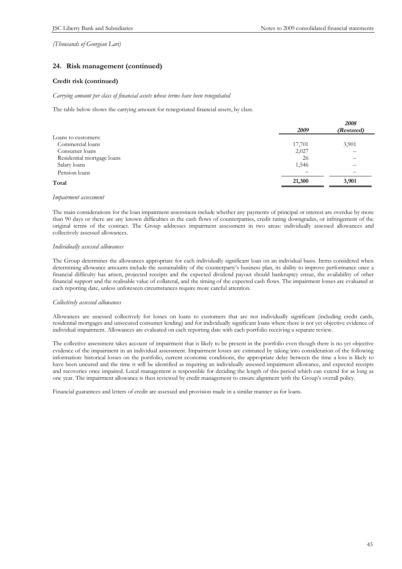# **24. Risk management (continued)**

### **Credit risk (continued)**

### *Carrying amount per class of financial assets whose terms have been renegotiated*

The table below shows the carrying amount for renegotiated financial assets, by class.

|                            | 2009   | <i>2008</i><br>(Restated) |
|----------------------------|--------|---------------------------|
| Loans to customers:        |        |                           |
| Commercial loans           | 17,701 | 3,901                     |
| Consumer loans             | 2,027  |                           |
| Residential mortgage loans | 26     |                           |
| Salary loans               | 1,546  |                           |
| Pension loans              |        |                           |
| Total                      | 21,300 | 3,901                     |
|                            |        |                           |

### *Impairment assessment*

The main considerations for the loan impairment assessment include whether any payments of principal or interest are overdue by more than 90 days or there are any known difficulties in the cash flows of counterparties, credit rating downgrades, or infringement of the original terms of the contract. The Group addresses impairment assessment in two areas: individually assessed allowances and collectively assessed allowances.

### *Individually assessed allowances*

The Group determines the allowances appropriate for each individually significant loan on an individual basis. Items considered when determining allowance amounts include the sustainability of the counterparty's business plan, its ability to improve performance once a financial difficulty has arisen, projected receipts and the expected dividend payout should bankruptcy ensue, the availability of other financial support and the realisable value of collateral, and the timing of the expected cash flows. The impairment losses are evaluated at each reporting date, unless unforeseen circumstances require more careful attention.

#### *Collectively assessed allowances*

Allowances are assessed collectively for losses on loans to customers that are not individually significant (including credit cards, residential mortgages and unsecured consumer lending) and for individually significant loans where there is not yet objective evidence of individual impairment. Allowances are evaluated on each reporting date with each portfolio receiving a separate review.

The collective assessment takes account of impairment that is likely to be present in the portfolio even though there is no yet objective evidence of the impairment in an individual assessment. Impairment losses are estimated by taking into consideration of the following information: historical losses on the portfolio, current economic conditions, the appropriate delay between the time a loss is likely to have been uncured and the time it will be identified as requiring an individually assessed impairment allowance, and expected receipts and recoveries once impaired. Local management is responsible for deciding the length of this period which can extend for as long as one year. The impairment allowance is then reviewed by credit management to ensure alignment with the Group's overall policy.

Financial guarantees and letters of credit are assessed and provision made in a similar manner as for loans.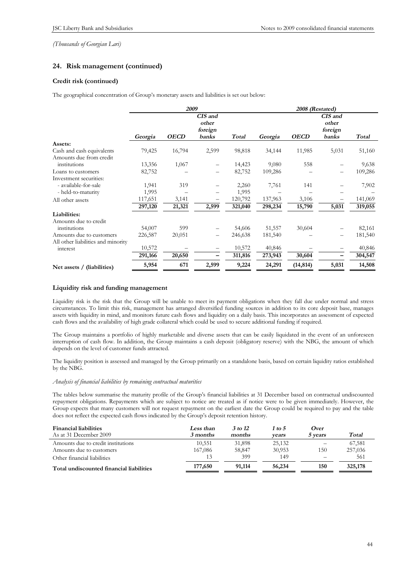# **24. Risk management (continued)**

# **Credit risk (continued)**

The geographical concentration of Group's monetary assets and liabilities is set out below:

|                                    |         | 2009        |                             |              | 2008 (Restated) |             |                             |              |  |
|------------------------------------|---------|-------------|-----------------------------|--------------|-----------------|-------------|-----------------------------|--------------|--|
|                                    |         |             | CIS and<br>other<br>foreign |              |                 |             | CIS and<br>other<br>foreign |              |  |
|                                    | Georgia | <b>OECD</b> | banks                       | <b>Total</b> | Georgia         | <b>OECD</b> | banks                       | <b>Total</b> |  |
| Assets:                            |         |             |                             |              |                 |             |                             |              |  |
| Cash and cash equivalents          | 79,425  | 16,794      | 2,599                       | 98,818       | 34,144          | 11,985      | 5,031                       | 51,160       |  |
| Amounts due from credit            |         |             |                             |              |                 |             |                             |              |  |
| institutions                       | 13,356  | 1,067       |                             | 14,423       | 9,080           | 558         |                             | 9,638        |  |
| Loans to customers                 | 82,752  |             |                             | 82,752       | 109,286         |             | $\overline{\phantom{0}}$    | 109,286      |  |
| Investment securities:             |         |             |                             |              |                 |             |                             |              |  |
| - available-for-sale               | 1,941   | 319         |                             | 2,260        | 7,761           | 141         |                             | 7,902        |  |
| - held-to-maturity                 | 1,995   |             |                             | 1,995        |                 |             |                             |              |  |
| All other assets                   | 117,651 | 3,141       |                             | 120,792      | 137,963         | 3,106       |                             | 141,069      |  |
|                                    | 297,120 | 21,321      | 2,599                       | 321,040      | 298,234         | 15,790      | 5,031                       | 319,055      |  |
| Liabilities:                       |         |             |                             |              |                 |             |                             |              |  |
| Amounts due to credit              |         |             |                             |              |                 |             |                             |              |  |
| institutions                       | 54,007  | 599         |                             | 54,606       | 51,557          | 30,604      |                             | 82,161       |  |
| Amounts due to customers           | 226,587 | 20,051      |                             | 246,638      | 181,540         |             |                             | 181,540      |  |
| All other liabilities and minority |         |             |                             |              |                 |             |                             |              |  |
| interest                           | 10,572  |             |                             | 10,572       | 40,846          |             |                             | 40,846       |  |
|                                    | 291,166 | 20,650      |                             | 311,816      | 273,943         | 30,604      | —                           | 304,547      |  |
| Net assets / (liabilities)         | 5,954   | 671         | 2,599                       | 9,224        | 24,291          | (14, 814)   | 5,031                       | 14,508       |  |

# **Liquidity risk and funding management**

Liquidity risk is the risk that the Group will be unable to meet its payment obligations when they fall due under normal and stress circumstances. To limit this risk, management has arranged diversified funding sources in addition to its core deposit base, manages assets with liquidity in mind, and monitors future cash flows and liquidity on a daily basis. This incorporates an assessment of expected cash flows and the availability of high grade collateral which could be used to secure additional funding if required.

The Group maintains a portfolio of highly marketable and diverse assets that can be easily liquidated in the event of an unforeseen interruption of cash flow. In addition, the Group maintains a cash deposit (obligatory reserve) with the NBG, the amount of which depends on the level of customer funds attracted.

The liquidity position is assessed and managed by the Group primarily on a standalone basis, based on certain liquidity ratios established by the NBG.

# *Analysis of financial liabilities by remaining contractual maturities*

The tables below summarise the maturity profile of the Group's financial liabilities at 31 December based on contractual undiscounted repayment obligations. Repayments which are subject to notice are treated as if notice were to be given immediately. However, the Group expects that many customers will not request repayment on the earliest date the Group could be required to pay and the table does not reflect the expected cash flows indicated by the Group's deposit retention history.

| <b>Financial liabilities</b><br>As at 31 December 2009                                        | Less than<br>3 months   | 3 to 12<br>months       | 1 to 5<br>vears         | <i>Over</i><br>5 years | Total                    |
|-----------------------------------------------------------------------------------------------|-------------------------|-------------------------|-------------------------|------------------------|--------------------------|
| Amounts due to credit institutions<br>Amounts due to customers<br>Other financial liabilities | 10.551<br>167,086<br>13 | 31,898<br>58,847<br>399 | 25,132<br>30,953<br>149 | 150                    | 67,581<br>257,036<br>561 |
| Total undiscounted financial liabilities                                                      | 177,650                 | 91,114                  | 56,234                  | 150                    | 325,178                  |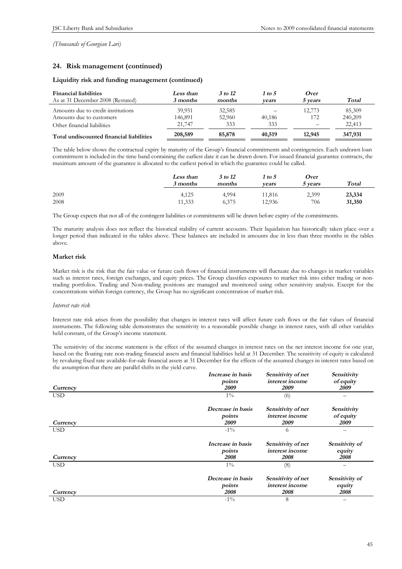# **24. Risk management (continued)**

# **Liquidity risk and funding management (continued)**

| <b>Financial liabilities</b><br>As at 31 December 2008 (Restated)                             | Less than<br>3 months       | 3 to 12<br>months       | 1 to 5<br>vears | Over<br>5 years | Total                       |
|-----------------------------------------------------------------------------------------------|-----------------------------|-------------------------|-----------------|-----------------|-----------------------------|
| Amounts due to credit institutions<br>Amounts due to customers<br>Other financial liabilities | 39,951<br>146,891<br>21.747 | 32,585<br>52,960<br>333 | 40.186<br>333   | 12,773<br>172   | 85,309<br>240,209<br>22,413 |
| Total undiscounted financial liabilities                                                      | 208,589                     | 85,878                  | 40,519          | 12,945          | 347,931                     |

The table below shows the contractual expiry by maturity of the Group's financial commitments and contingencies. Each undrawn loan commitment is included in the time band containing the earliest date it can be drawn down. For issued financial guarantee contracts, the maximum amount of the guarantee is allocated to the earliest period in which the guarantee could be called.

|      | Less than<br>3 months | 3 to 12<br>months | 1 to 5<br>vears | Over<br>5 years | Total  |
|------|-----------------------|-------------------|-----------------|-----------------|--------|
| 2009 | 4.125                 | 4.994             | 11,816          | 2,399           | 23,334 |
| 2008 | 11,333                | 6,375             | 12,936          | 706             | 31,350 |

The Group expects that not all of the contingent liabilities or commitments will be drawn before expiry of the commitments.

The maturity analysis does not reflect the historical stability of current accounts. Their liquidation has historically taken place over a longer period than indicated in the tables above. These balances are included in amounts due in less than three months in the tables above.

# **Market risk**

Market risk is the risk that the fair value or future cash flows of financial instruments will fluctuate due to changes in market variables such as interest rates, foreign exchanges, and equity prices. The Group classifies exposures to market risk into either trading or nontrading portfolios. Trading and Non-trading positions are managed and monitored using other sensitivity analysis. Except for the concentrations within foreign currency, the Group has no significant concentration of market risk.

# *Interest rate risk*

Interest rate risk arises from the possibility that changes in interest rates will affect future cash flows or the fair values of financial instruments. The following table demonstrates the sensitivity to a reasonable possible change in interest rates, with all other variables held constant, of the Group's income statement.

The sensitivity of the income statement is the effect of the assumed changes in interest rates on the net interest income for one year, based on the floating rate non-trading financial assets and financial liabilities held at 31 December. The sensitivity of equity is calculated by revaluing fixed rate available-for-sale financial assets at 31 December for the effects of the assumed changes in interest rates based on the assumption that there are parallel shifts in the yield curve.

|            | Increase in basis<br>points         | Sensitivity of net<br>interest income         | Sensitivity<br>of equity         |
|------------|-------------------------------------|-----------------------------------------------|----------------------------------|
| Currency   | 2009                                | 2009                                          | 2009                             |
| <b>USD</b> | $1\%$                               | (6)                                           |                                  |
| Currency   | Decrease in basis<br>points<br>2009 | Sensitivity of net<br>interest income<br>2009 | Sensitivity<br>of equity<br>2009 |
| <b>USD</b> | $-1\%$                              | 6                                             |                                  |
| Currency   | Increase in basis<br>points<br>2008 | Sensitivity of net<br>interest income<br>2008 | Sensitivity of<br>equity<br>2008 |
| <b>USD</b> | $1\%$                               | (8)                                           |                                  |
| Currency   | Decrease in basis<br>points<br>2008 | Sensitivity of net<br>interest income<br>2008 | Sensitivity of<br>equity<br>2008 |
| <b>USD</b> | $-1\%$                              | 8                                             |                                  |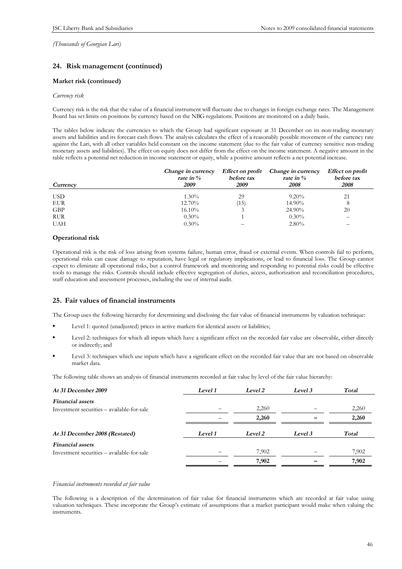# **24. Risk management (continued)**

### **Market risk (continued)**

### *Currency risk*

Currency risk is the risk that the value of a financial instrument will fluctuate due to changes in foreign exchange rates. The Management Board has set limits on positions by currency based on the NBG regulations. Positions are monitored on a daily basis.

The tables below indicate the currencies to which the Group had significant exposure at 31 December on its non-trading monetary assets and liabilities and its forecast cash flows. The analysis calculates the effect of a reasonably possible movement of the currency rate against the Lari, with all other variables held constant on the income statement (due to the fair value of currency sensitive non-trading monetary assets and liabilities). The effect on equity does not differ from the effect on the income statement. A negative amount in the table reflects a potential net reduction in income statement or equity, while a positive amount reflects a net potential increase.

|            | Change in currency<br>rate in $\%$ | Effect on profit<br>before tax | Change in currency<br>rate in $\%$ | Effect on profit<br>before tax |
|------------|------------------------------------|--------------------------------|------------------------------------|--------------------------------|
| Currency   | 2009                               | 2009                           | 2008                               | 2008                           |
| <b>USD</b> | $1.30\%$                           | 29                             | $9.20\%$                           | 21                             |
| <b>EUR</b> | 12.70%                             | (15)                           | 14.90%                             |                                |
| <b>GBP</b> | $16.10\%$                          |                                | 24.90%                             | 20                             |
| <b>RUR</b> | $0.30\%$                           |                                | $0.30\%$                           |                                |
| UAH        | $0.30\%$                           |                                | $2.80\%$                           |                                |

### **Operational risk**

Operational risk is the risk of loss arising from systems failure, human error, fraud or external events. When controls fail to perform, operational risks can cause damage to reputation, have legal or regulatory implications, or lead to financial loss. The Group cannot expect to eliminate all operational risks, but a control framework and monitoring and responding to potential risks could be effective tools to manage the risks. Controls should include effective segregation of duties, access, authorization and reconciliation procedures, staff education and assessment processes, including the use of internal audit.

# **25. Fair values of financial instruments**

The Group uses the following hierarchy for determining and disclosing the fair value of financial instruments by valuation technique:

- Level 1: quoted (unadjusted) prices in active markets for identical assets or liabilities;
- Level 2: techniques for which all inputs which have a significant effect on the recorded fair value are observable, either directly or indirectly; and
- Level 3: techniques which use inputs which have a significant effect on the recorded fair value that are not based on observable market data.

The following table shows an analysis of financial instruments recorded at fair value by level of the fair value hierarchy:

| At 31 December 2009                        | Level 1 | Level 2 | Level 3 | <b>Total</b> |
|--------------------------------------------|---------|---------|---------|--------------|
| <b>Financial</b> assets                    |         |         |         |              |
| Investment securities - available-for-sale |         | 2,260   |         | 2,260        |
|                                            |         | 2,260   |         | 2,260        |
| At 31 December 2008 (Restated)             | Level 1 | Level 2 | Level 3 | <b>Total</b> |
| <b>Financial</b> assets                    |         |         |         |              |
| Investment securities - available-for-sale |         | 7,902   |         | 7,902        |
|                                            |         | 7,902   |         | 7,902        |

### *Financial instruments recorded at fair value*

The following is a description of the determination of fair value for financial instruments which are recorded at fair value using valuation techniques. These incorporate the Group's estimate of assumptions that a market participant would make when valuing the instruments.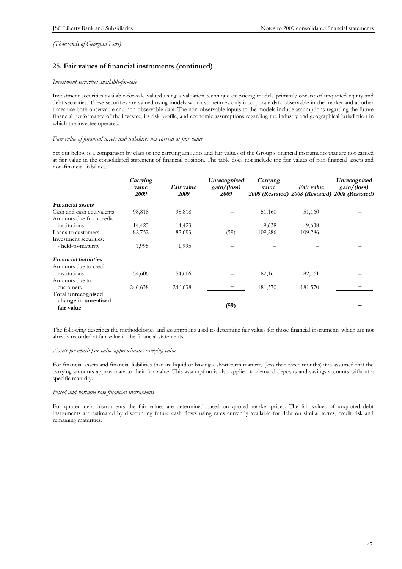# **25. Fair values of financial instruments (continued)**

### *Investment securities available-for-sale*

Investment securities available-for-sale valued using a valuation technique or pricing models primarily consist of unquoted equity and debt securities. These securities are valued using models which sometimes only incorporate data observable in the market and at other times use both observable and non-observable data. The non-observable inputs to the models include assumptions regarding the future financial performance of the investee, its risk profile, and economic assumptions regarding the industry and geographical jurisdiction in which the investee operates.

### *Fair value of financial assets and liabilities not carried at fair value*

Set out below is a comparison by class of the carrying amounts and fair values of the Group's financial instruments that are not carried at fair value in the consolidated statement of financial position. The table does not include the fair values of non-financial assets and non-financial liabilities.

|                              | Carrying<br>value<br>2009 | Fair value<br>2009 | Unrecognised<br>gain/(loss)<br>2009 | Carrying<br>value | <i>Fair value</i> | Unrecognised<br>gain/(loss)<br>2008 (Restated) 2008 (Restated) 2008 (Restated) |
|------------------------------|---------------------------|--------------------|-------------------------------------|-------------------|-------------------|--------------------------------------------------------------------------------|
|                              |                           |                    |                                     |                   |                   |                                                                                |
| <b>Financial assets</b>      |                           |                    |                                     |                   |                   |                                                                                |
| Cash and cash equivalents    | 98,818                    | 98,818             |                                     | 51,160            | 51,160            |                                                                                |
| Amounts due from credit      |                           |                    |                                     |                   |                   |                                                                                |
| institutions                 | 14,423                    | 14,423             |                                     | 9,638             | 9,638             |                                                                                |
| Loans to customers           | 82,752                    | 82,693             | (59)                                | 109,286           | 109,286           |                                                                                |
| Investment securities:       |                           |                    |                                     |                   |                   |                                                                                |
| - held-to-maturity           | 1,995                     | 1,995              |                                     |                   |                   |                                                                                |
| <b>Financial liabilities</b> |                           |                    |                                     |                   |                   |                                                                                |
| Amounts due to credit        |                           |                    |                                     |                   |                   |                                                                                |
| institutions                 | 54,606                    | 54,606             |                                     | 82,161            | 82,161            |                                                                                |
| Amounts due to               |                           |                    |                                     |                   |                   |                                                                                |
| customers                    | 246,638                   | 246,638            |                                     | 181,570           | 181,570           |                                                                                |
| Total unrecognised           |                           |                    |                                     |                   |                   |                                                                                |
| change in unrealised         |                           |                    |                                     |                   |                   |                                                                                |
| fair value                   |                           |                    | (59)                                |                   |                   |                                                                                |

The following describes the methodologies and assumptions used to determine fair values for those financial instruments which are not already recorded at fair value in the financial statements.

# *Assets for which fair value approximates carrying value*

For financial assets and financial liabilities that are liquid or having a short term maturity (less than three months) it is assumed that the carrying amounts approximate to their fair value. This assumption is also applied to demand deposits and savings accounts without a specific maturity.

### *Fixed and variable rate financial instruments*

For quoted debt instruments the fair values are determined based on quoted market prices. The fair values of unquoted debt instruments are estimated by discounting future cash flows using rates currently available for debt on similar terms, credit risk and remaining maturities.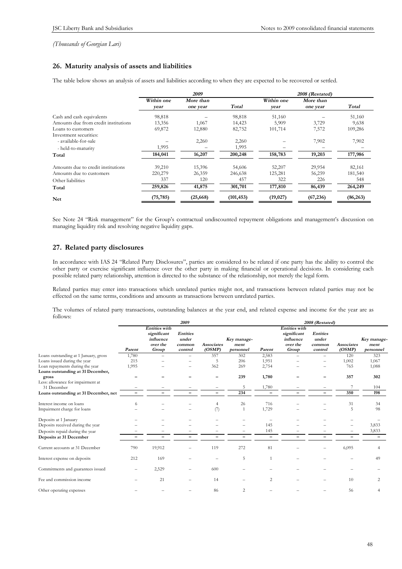# **26. Maturity analysis of assets and liabilities**

The table below shows an analysis of assets and liabilities according to when they are expected to be recovered or settled.

|                                      |                    | 2009                  |            |                    | 2008 (Restated)       |           |
|--------------------------------------|--------------------|-----------------------|------------|--------------------|-----------------------|-----------|
|                                      | Within one<br>year | More than<br>one year | Total      | Within one<br>vear | More than<br>one year | Total     |
| Cash and cash equivalents            | 98,818             |                       | 98,818     | 51,160             |                       | 51,160    |
| Amounts due from credit institutions | 13,356             | 1,067                 | 14,423     | 5,909              | 3,729                 | 9,638     |
| Loans to customers                   | 69,872             | 12,880                | 82,752     | 101,714            | 7,572                 | 109,286   |
| Investment securities:               |                    |                       |            |                    |                       |           |
| - available-for-sale                 |                    | 2,260                 | 2,260      |                    | 7,902                 | 7,902     |
| - held-to-maturity                   | 1,995              |                       | 1,995      |                    |                       |           |
| Total                                | 184,041            | 16,207                | 200,248    | 158,783            | 19,203                | 177,986   |
| Amounts due to credit institutions   | 39,210             | 15,396                | 54,606     | 52,207             | 29,954                | 82,161    |
| Amounts due to customers             | 220,279            | 26,359                | 246,638    | 125,281            | 56,259                | 181,540   |
| Other liabilities                    | 337                | 120                   | 457        | 322                | 226                   | 548       |
| Total                                | 259,826            | 41,875                | 301,701    | 177,810            | 86,439                | 264,249   |
| <b>Net</b>                           | (75, 785)          | (25, 668)             | (101, 453) | (19, 027)          | (67, 236)             | (86, 263) |

See Note 24 "Risk management" for the Group's contractual undiscounted repayment obligations and management's discussion on managing liquidity risk and resolving negative liquidity gaps.

# **27. Related party disclosures**

In accordance with IAS 24 "Related Party Disclosures", parties are considered to be related if one party has the ability to control the other party or exercise significant influence over the other party in making financial or operational decisions. In considering each possible related party relationship, attention is directed to the substance of the relationship, not merely the legal form.

Related parties may enter into transactions which unrelated parties might not, and transactions between related parties may not be effected on the same terms, conditions and amounts as transactions between unrelated parties.

The volumes of related party transactions, outstanding balances at the year end, and related expense and income for the year are as follows:

|                                                                                 | 2009                     |                                                                       |                                               |                             | 2008 (Restated)                  |                          |                                                                       |                                               |                             |                                  |
|---------------------------------------------------------------------------------|--------------------------|-----------------------------------------------------------------------|-----------------------------------------------|-----------------------------|----------------------------------|--------------------------|-----------------------------------------------------------------------|-----------------------------------------------|-----------------------------|----------------------------------|
|                                                                                 | Parent                   | <b>Entities</b> with<br>significant<br>influence<br>over the<br>Group | <b>Entities</b><br>under<br>common<br>control | <b>Associates</b><br>(OSMP) | Key manage-<br>ment<br>personnel | Parent                   | <b>Entities</b> with<br>significant<br>influence<br>over the<br>Group | <b>Entities</b><br>under<br>common<br>control | <b>Associates</b><br>(OSMP) | Key manage-<br>ment<br>personnel |
| Loans outstanding at 1 January, gross                                           | 1,780                    | $\overline{\phantom{m}}$                                              | $\overline{\phantom{0}}$                      | 357                         | 302                              | 2,583                    | $\overline{\phantom{0}}$                                              | $\overline{\phantom{0}}$                      | 120                         | 323                              |
| Loans issued during the year                                                    | 215                      |                                                                       |                                               | 5                           | 206                              | 1,951                    |                                                                       |                                               | 1,002                       | 1,067                            |
| Loan repayments during the year                                                 | 1,995                    |                                                                       |                                               | 362                         | 269                              | 2,754                    |                                                                       | -                                             | 765                         | 1,088                            |
| Loans outstanding at 31 December,<br>gross<br>Less: allowance for impairment at |                          |                                                                       |                                               |                             | 239                              | 1,780                    |                                                                       |                                               | 357                         | 302                              |
| 31 December                                                                     |                          |                                                                       |                                               | -                           | 5                                | 1,780                    | $\overline{ }$                                                        | -                                             | 7                           | 104                              |
| Loans outstanding at 31 December, net                                           | $\overline{\phantom{m}}$ |                                                                       |                                               | $\overline{\phantom{0}}$    | 234                              | $\qquad \qquad -$        |                                                                       | -                                             | 350                         | 198                              |
| Interest income on loans<br>Impairment charge for loans                         | 6                        |                                                                       |                                               | 4<br>(7)                    | 26<br>1                          | 716<br>1,729             |                                                                       |                                               | 31<br>5                     | 34<br>98                         |
| Deposits at 1 January                                                           |                          |                                                                       |                                               |                             |                                  | 145                      |                                                                       |                                               |                             |                                  |
| Deposits received during the year                                               |                          |                                                                       |                                               |                             |                                  | 145                      |                                                                       |                                               |                             | 3,833<br>3,833                   |
| Deposits repaid during the year<br>Deposits at 31 December                      | $\qquad \qquad -$        |                                                                       | $\overline{\phantom{0}}$                      | $\overline{\phantom{0}}$    | -<br>$\overline{\phantom{0}}$    | $\overline{\phantom{0}}$ | $\qquad \qquad -$                                                     | $\qquad \qquad -$                             | $\overline{\phantom{a}}$    | $\overline{\phantom{a}}$         |
| Current accounts at 31 December                                                 | 790                      | 19,912                                                                |                                               | 119                         | 272                              | 81                       |                                                                       |                                               | 6,095                       | $\overline{4}$                   |
| Interest expense on deposits                                                    | 212                      | 169                                                                   |                                               |                             | 5                                |                          |                                                                       |                                               |                             | 49                               |
| Commitments and guarantees issued                                               |                          | 2,529                                                                 |                                               | 600                         |                                  |                          |                                                                       |                                               |                             |                                  |
| Fee and commission income                                                       |                          | 21                                                                    |                                               | 14                          |                                  | 2                        |                                                                       |                                               | 10                          | 2                                |
| Other operating expenses                                                        |                          |                                                                       |                                               | 86                          | $\overline{c}$                   |                          |                                                                       |                                               | 56                          |                                  |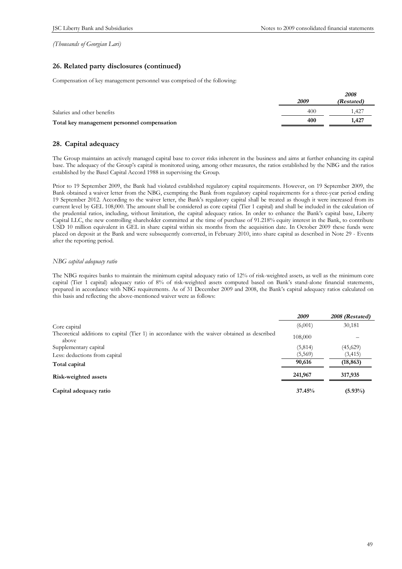# **26. Related party disclosures (continued)**

Compensation of key management personnel was comprised of the following:

|                                             | 2009 | 2008<br>(Restated) |
|---------------------------------------------|------|--------------------|
| Salaries and other benefits                 | 400  | 1.427              |
| Total key management personnel compensation | 400  | 1.427              |

# **28. Capital adequacy**

The Group maintains an actively managed capital base to cover risks inherent in the business and aims at further enhancing its capital base. The adequacy of the Group's capital is monitored using, among other measures, the ratios established by the NBG and the ratios established by the Basel Capital Accord 1988 in supervising the Group.

Prior to 19 September 2009, the Bank had violated established regulatory capital requirements. However, on 19 September 2009, the Bank obtained a waiver letter from the NBG, exempting the Bank from regulatory capital requirements for a three-year period ending 19 September 2012. According to the waiver letter, the Bank's regulatory capital shall be treated as though it were increased from its current level by GEL 108,000. The amount shall be considered as core capital (Tier 1 capital) and shall be included in the calculation of the prudential ratios, including, without limitation, the capital adequacy ratios. In order to enhance the Bank's capital base, Liberty Capital LLC, the new controlling shareholder committed at the time of purchase of 91.218% equity interest in the Bank, to contribute USD 10 million equivalent in GEL in share capital within six months from the acquisition date. In October 2009 these funds were placed on deposit at the Bank and were subsequently converted, in February 2010, into share capital as described in Note 29 - Events after the reporting period.

# *NBG capital adequacy ratio*

The NBG requires banks to maintain the minimum capital adequacy ratio of 12% of risk-weighted assets, as well as the minimum core capital (Tier 1 capital) adequacy ratio of 8% of risk-weighted assets computed based on Bank's stand-alone financial statements, prepared in accordance with NBG requirements. As of 31 December 2009 and 2008, the Bank's capital adequacy ratios calculated on this basis and reflecting the above-mentioned waiver were as follows:

|                                                                                                        | 2009    | 2008 (Restated) |
|--------------------------------------------------------------------------------------------------------|---------|-----------------|
| Core capital                                                                                           | (6,001) | 30,181          |
| Theoretical additions to capital (Tier 1) in accordance with the waiver obtained as described<br>above | 108,000 |                 |
| Supplementary capital                                                                                  | (5,814) | (45,629)        |
| Less: deductions from capital                                                                          | (5,569) | (3, 415)        |
| Total capital                                                                                          | 90,616  | (18, 863)       |
| Risk-weighted assets                                                                                   | 241,967 | 317,935         |
| Capital adequacy ratio                                                                                 | 37.45%  | $(5.93\%)$      |